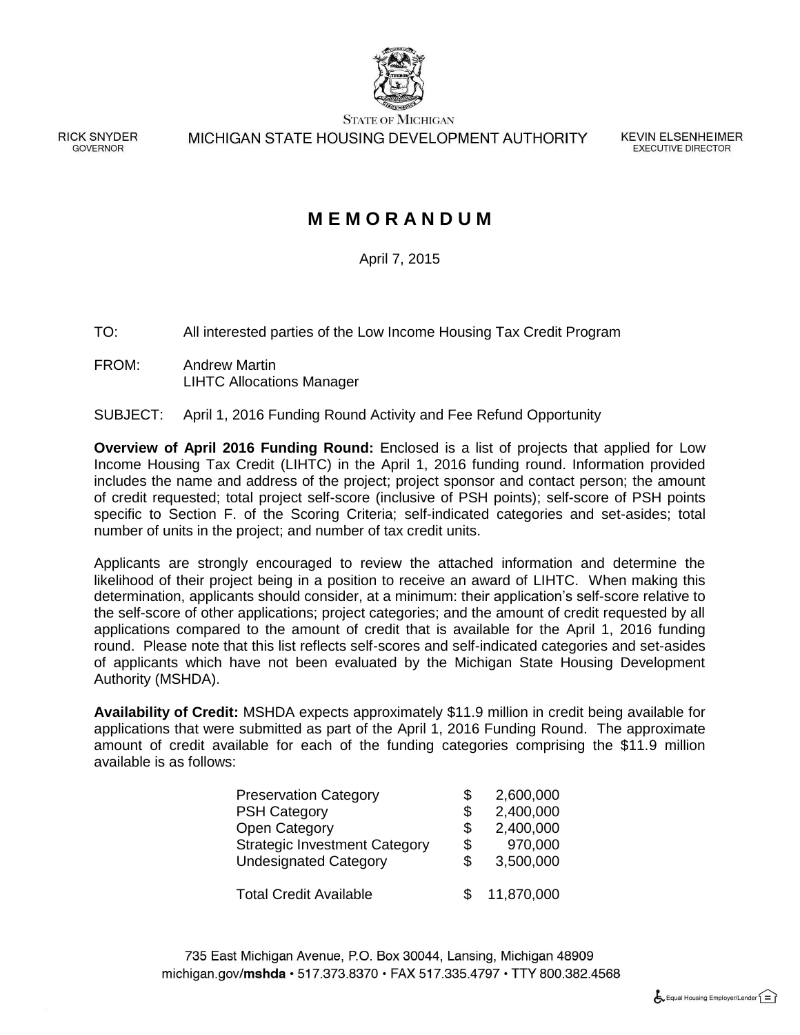

**STATE OF MICHIGAN** 

**RICK SNYDER** GOVERNOR

MICHIGAN STATE HOUSING DEVELOPMENT AUTHORITY

**KEVIN ELSENHEIMER EXECUTIVE DIRECTOR** 

### **M E M O R A N D U M**

April 7, 2015

TO: All interested parties of the Low Income Housing Tax Credit Program

FROM: Andrew Martin LIHTC Allocations Manager

#### SUBJECT: April 1, 2016 Funding Round Activity and Fee Refund Opportunity

**Overview of April 2016 Funding Round:** Enclosed is a list of projects that applied for Low Income Housing Tax Credit (LIHTC) in the April 1, 2016 funding round. Information provided includes the name and address of the project; project sponsor and contact person; the amount of credit requested; total project self-score (inclusive of PSH points); self-score of PSH points specific to Section F. of the Scoring Criteria; self-indicated categories and set-asides; total number of units in the project; and number of tax credit units.

Applicants are strongly encouraged to review the attached information and determine the likelihood of their project being in a position to receive an award of LIHTC. When making this determination, applicants should consider, at a minimum: their application's self-score relative to the self-score of other applications; project categories; and the amount of credit requested by all applications compared to the amount of credit that is available for the April 1, 2016 funding round. Please note that this list reflects self-scores and self-indicated categories and set-asides of applicants which have not been evaluated by the Michigan State Housing Development Authority (MSHDA).

**Availability of Credit:** MSHDA expects approximately \$11.9 million in credit being available for applications that were submitted as part of the April 1, 2016 Funding Round. The approximate amount of credit available for each of the funding categories comprising the \$11.9 million available is as follows:

| <b>Preservation Category</b>         | S  | 2,600,000  |
|--------------------------------------|----|------------|
| <b>PSH Category</b>                  | \$ | 2,400,000  |
| Open Category                        | \$ | 2,400,000  |
| <b>Strategic Investment Category</b> | \$ | 970,000    |
| <b>Undesignated Category</b>         | S  | 3,500,000  |
| <b>Total Credit Available</b>        |    | 11,870,000 |

735 East Michigan Avenue, P.O. Box 30044, Lansing, Michigan 48909 michigan.gov/mshda · 517.373.8370 · FAX 517.335.4797 · TTY 800.382.4568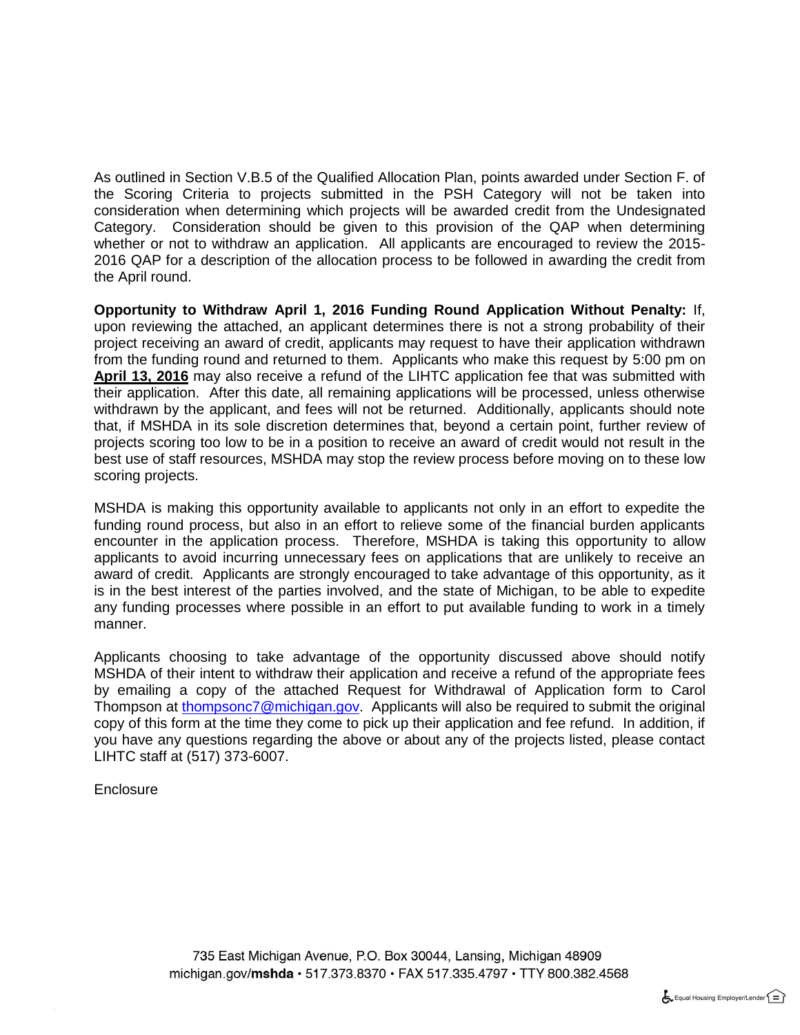As outlined in Section V.B.5 of the Qualified Allocation Plan, points awarded under Section F. of the Scoring Criteria to projects submitted in the PSH Category will not be taken into consideration when determining which projects will be awarded credit from the Undesignated Category. Consideration should be given to this provision of the QAP when determining whether or not to withdraw an application. All applicants are encouraged to review the 2015-2016 QAP for a description of the allocation process to be followed in awarding the credit from the April round.

**Opportunity to Withdraw April 1, 2016 Funding Round Application Without Penalty:** If, upon reviewing the attached, an applicant determines there is not a strong probability of their project receiving an award of credit, applicants may request to have their application withdrawn from the funding round and returned to them. Applicants who make this request by 5:00 pm on **April 13, 2016** may also receive a refund of the LIHTC application fee that was submitted with their application. After this date, all remaining applications will be processed, unless otherwise withdrawn by the applicant, and fees will not be returned. Additionally, applicants should note that, if MSHDA in its sole discretion determines that, beyond a certain point, further review of projects scoring too low to be in a position to receive an award of credit would not result in the best use of staff resources, MSHDA may stop the review process before moving on to these low scoring projects.

MSHDA is making this opportunity available to applicants not only in an effort to expedite the funding round process, but also in an effort to relieve some of the financial burden applicants encounter in the application process. Therefore, MSHDA is taking this opportunity to allow applicants to avoid incurring unnecessary fees on applications that are unlikely to receive an award of credit. Applicants are strongly encouraged to take advantage of this opportunity, as it is in the best interest of the parties involved, and the state of Michigan, to be able to expedite any funding processes where possible in an effort to put available funding to work in a timely manner.

Applicants choosing to take advantage of the opportunity discussed above should notify MSHDA of their intent to withdraw their application and receive a refund of the appropriate fees by emailing a copy of the attached Request for Withdrawal of Application form to Carol Thompson at [thompsonc7@michigan.gov.](mailto:thompsonc7@michigan.gov) Applicants will also be required to submit the original copy of this form at the time they come to pick up their application and fee refund. In addition, if you have any questions regarding the above or about any of the projects listed, please contact LIHTC staff at (517) 373-6007.

#### **Enclosure**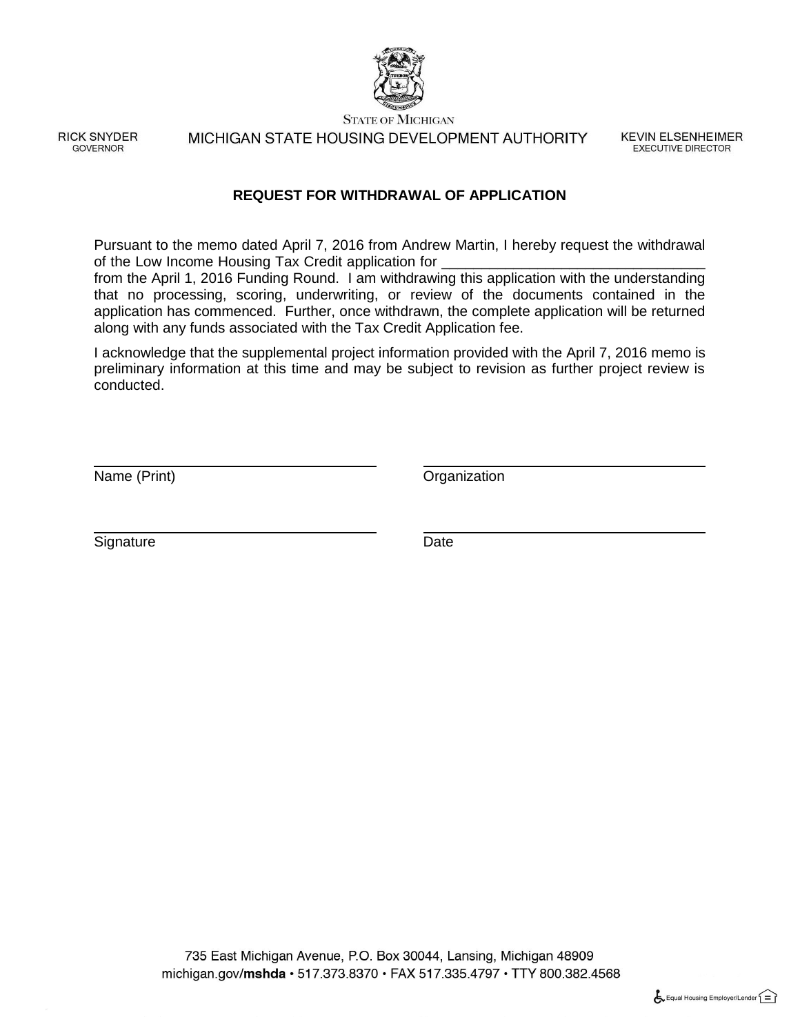

**STATE OF MICHIGAN** 

**RICK SNYDER GOVERNOR** 

MICHIGAN STATE HOUSING DEVELOPMENT AUTHORITY

**KEVIN ELSENHEIMER EXECUTIVE DIRECTOR** 

#### **REQUEST FOR WITHDRAWAL OF APPLICATION**

Pursuant to the memo dated April 7, 2016 from Andrew Martin, I hereby request the withdrawal of the Low Income Housing Tax Credit application for

from the April 1, 2016 Funding Round. I am withdrawing this application with the understanding that no processing, scoring, underwriting, or review of the documents contained in the application has commenced. Further, once withdrawn, the complete application will be returned along with any funds associated with the Tax Credit Application fee.

I acknowledge that the supplemental project information provided with the April 7, 2016 memo is preliminary information at this time and may be subject to revision as further project review is conducted.

Name (Print) Channels Communication Communication Communication Communication Communication

Signature Date

735 East Michigan Avenue, P.O. Box 30044, Lansing, Michigan 48909 michigan.gov/mshda  $\cdot$  517.373.8370  $\cdot$  FAX 517.335.4797  $\cdot$  TTY 800.382.4568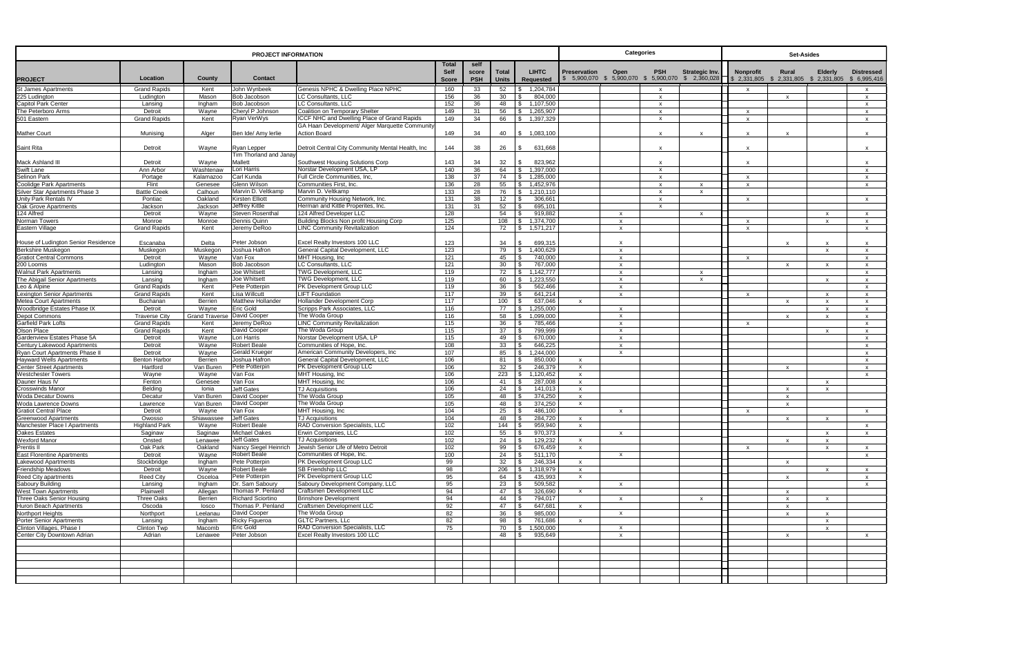| <b>PROJECT INFORMATION</b>                                 |                                 |                                    |                                             |                                                                               | <b>Categories</b>                    |                             |                       | <b>Set-Asides</b>                  |                                     |                                                 |                               |                                                                  |                              |                           |                                           |
|------------------------------------------------------------|---------------------------------|------------------------------------|---------------------------------------------|-------------------------------------------------------------------------------|--------------------------------------|-----------------------------|-----------------------|------------------------------------|-------------------------------------|-------------------------------------------------|-------------------------------|------------------------------------------------------------------|------------------------------|---------------------------|-------------------------------------------|
| <b>PROJECT</b>                                             | Location                        | County                             | <b>Contact</b>                              |                                                                               | <b>Total</b><br>Self<br><b>Score</b> | self<br>score<br><b>PSH</b> | Total<br><b>Units</b> | <b>LIHTC</b><br>Requested          | <b>Preservation</b><br>\$ 5,900,070 | Open<br><b>PSH</b><br>\$ 5,900,070 \$ 5,900,070 | Strategic Inv.<br>\$2,360,028 | Nonprofit<br>\$ 2,331,805 \$ 2,331,805 \$ 2,331,805 \$ 6,995,416 | Rural                        | <b>Elderly</b>            | <b>Distressed</b>                         |
| St James Apartments                                        | <b>Grand Rapids</b>             | Kent                               | John Wynbeek                                | <b>Genesis NPHC &amp; Dwelling Place NPHC</b>                                 | 160                                  | 33                          | 52                    | 1,204,784<br>-S.                   |                                     | X                                               |                               | $\mathsf{x}$                                                     |                              |                           | X                                         |
| 225 Ludington                                              | Ludington                       | Mason                              | <b>Bob Jacobson</b>                         | LC Consultants, LLC                                                           | 156                                  | 36                          | 30                    | 804,000<br>.\$                     |                                     | $\mathsf{x}$                                    |                               |                                                                  | $\mathbf{x}$                 |                           | $\mathsf{x}$                              |
| <b>Capitol Park Center</b>                                 | Lansing                         | Ingham                             | Bob Jacobson                                | LC Consultants, LLC                                                           | 152                                  | 36                          | 48                    | 1,107,500<br>-S.                   |                                     | $\mathsf{x}$                                    |                               |                                                                  |                              |                           | $\mathsf{x}$                              |
| The Peterboro Arms<br>501 Eastern                          | Detroit<br><b>Grand Rapids</b>  | Wayne<br>Kent                      | Cheryl P Johnson<br>Ryan VerWys             | Coalition on Temporary Shelter<br>ICCF NHC and Dwelling Place of Grand Rapids | 149<br>149                           | 31<br>34                    | 56<br>66              | 1,265,907<br>\$<br>\$<br>1,397,329 |                                     | $\mathsf{x}$<br>$\mathsf{x}$                    |                               | $\mathbf{x}$<br>$\mathsf{x}$                                     |                              |                           | $\mathsf{x}$<br>$\mathsf{x}$              |
|                                                            |                                 |                                    |                                             | GA Haan Development/ Alger Marquette Community                                |                                      |                             |                       |                                    |                                     |                                                 |                               |                                                                  |                              |                           |                                           |
| <b>Mather Court</b>                                        | Munising                        | Alger                              | Ben Ide/ Amy lerlie                         | <b>Action Board</b>                                                           | 149                                  | 34                          | 40                    | \$ 1,083,100                       |                                     | $\mathsf{x}$                                    | $\mathbf{x}$                  |                                                                  | X                            |                           | $\boldsymbol{\mathsf{x}}$                 |
| Saint Rita                                                 | Detroit                         | Wayne                              | Ryan Lepper<br>Tim Thorland and Janay       | Detroit Central City Community Mental Health, Inc.                            | 144                                  | 38                          | 26                    | 631,668<br>l \$                    |                                     | $\mathsf{x}$                                    |                               | $\mathsf{x}$                                                     |                              |                           | $\mathsf{x}$                              |
| Mack Ashland III                                           | Detroit                         | Wayne                              | Mallett                                     | Southwest Housing Solutions Corp                                              | 143                                  | 34                          | 32                    | 823,962<br>\$                      |                                     | $\mathsf{x}$                                    |                               | $\mathsf{x}$                                                     |                              |                           | $\boldsymbol{\mathsf{x}}$                 |
| Swift Lane                                                 | Ann Arbor                       | Washtenaw                          | Lori Harris                                 | Norstar Development USA, LP                                                   | 140                                  | 36                          | 64                    | 1,397,000<br>\$                    |                                     | $\mathsf{x}$                                    |                               |                                                                  |                              |                           | $\boldsymbol{\mathsf{x}}$                 |
| Selinon Park                                               | Portage                         | Kalamazoo                          | Carl Kunda                                  | Full Circle Communities, Inc,                                                 | 138                                  | 37                          | 74                    | 1,285,000<br>- S                   |                                     | $\mathsf{x}$                                    |                               | $\mathsf{x}$                                                     |                              |                           | $\boldsymbol{\mathsf{x}}$                 |
| <b>Coolidge Park Apartments</b>                            | Flint                           | Genesee                            | Glenn Wilson                                | Communities First, Inc.                                                       | 136                                  | 28                          | 55                    | 1,452,976<br>\$                    |                                     | X                                               | X.                            | $\mathsf{x}$                                                     |                              |                           | $\mathsf{x}$                              |
| Silver Star Apartments Phase 3<br>Unity Park Rentals IV    | <b>Battle Creek</b>             | Calhoun                            | Marvin D. Veltkamp                          | Marvin D. Veltkamp                                                            | 133                                  | 28                          | 76                    | 1,210,110<br>I \$                  |                                     | $\mathsf{x}$                                    | $\mathsf{x}$                  |                                                                  |                              |                           |                                           |
| Oak Grove Apartments                                       | Pontiac<br>Jackson              | Oakland<br>Jackson                 | <b>Kirsten Elliott</b><br>Jeffrey Kittle    | Community Housing Network, Inc.<br>Herman and Kittle Properites, Inc.         | 131<br>131                           | 38<br>31                    | 12<br>52              | 306,661<br>- \$<br>695,101<br>.\$  |                                     | $\mathsf{x}$<br>$\mathsf{x}$                    |                               | $\mathsf{x}$                                                     |                              |                           | $\mathsf{x}$                              |
| 124 Alfred                                                 | Detroit                         | Wayne                              | <b>Steven Rosenthal</b>                     | 124 Alfred Developer LLC                                                      | 128                                  |                             | 54                    | 919,882                            |                                     | $\mathsf{x}$                                    | $\mathbf{x}$                  |                                                                  |                              |                           | $\mathsf{x}$                              |
| Norman Towers                                              | Monroe                          | Monroe                             | Dennis Quinn                                | Building Blocks Non profit Housing Corp                                       | 125                                  |                             | 108                   | 1,374,700                          |                                     | $\mathsf{x}$                                    |                               | $\mathsf{x}$                                                     |                              | $\mathbf{x}$              | $\mathsf{x}$                              |
| Eastern Village                                            | <b>Grand Rapids</b>             | Kent                               | Jeremy DeRoo                                | <b>LINC Community Revitalization</b>                                          | 124                                  |                             | 72                    | 1,571,217                          |                                     | $\mathsf{x}$                                    |                               | $\mathsf{x}$                                                     |                              |                           | $\mathsf{x}$                              |
| House of Ludington Senior Residence                        | Escanaba                        | Delta                              | Peter Jobson                                | Excel Realty Investors 100 LLC                                                | 123                                  |                             | 34                    | 699,315<br>\$.                     |                                     | $\boldsymbol{\mathsf{x}}$                       |                               |                                                                  | $\mathbf{x}$                 |                           | $\mathsf{x}$                              |
| Berkshire Muskegon                                         | Muskegon                        | Muskegon                           | Joshua Hafron                               | General Capital Development, LLC                                              | 123                                  |                             | 79                    | <b>S</b><br>1,400,629              |                                     | $\mathsf{x}$                                    |                               |                                                                  |                              | $\mathsf{x}$              | $\mathsf{x}$                              |
| <b>Gratiot Central Commons</b><br>200 Loomis               | Detroit<br>Ludington            | Wayne<br>Mason                     | Van Fox<br><b>Bob Jacobson</b>              | MHT Housing, Inc.<br>LC Consultants, LLC                                      | 121<br>121                           |                             | 45<br>30              | 740,000<br>-\$<br>767,000<br>.ፍ    |                                     | $\mathsf{x}$<br>$\mathsf{x}$                    |                               | $\mathsf{x}$                                                     | $\mathbf{x}$                 | $\mathsf{x}$              | $\boldsymbol{\mathsf{x}}$<br>$\mathsf{x}$ |
| <b>Walnut Park Apartments</b>                              | Lansing                         | Ingham                             | Joe Whitsett                                | <b>TWG Development, LLC</b>                                                   | 119                                  |                             | 72                    | \$.<br>1,142,777                   |                                     | $\mathbf{x}$                                    | $\mathsf{x}$                  |                                                                  |                              |                           | $\mathsf{x}$                              |
| The Abigail Senior Apartments                              | Lansing                         | Ingham                             | Joe Whitsett                                | <b>TWG Development, LLC</b>                                                   | 119                                  |                             | 60                    | 1,223,550<br>\$.                   |                                     | $\mathsf{x}$                                    | $\mathsf{x}$                  |                                                                  |                              | $\mathbf{x}$              | $\mathsf{x}$                              |
| Leo & Alpine                                               | <b>Grand Rapids</b>             | Kent                               | Pete Potterpin                              | PK Development Group LLC                                                      | 119                                  |                             | 36                    | 562,466                            |                                     | $\mathsf{x}$                                    |                               |                                                                  |                              |                           | $\mathsf{x}$                              |
| <b>Lexington Senior Apartments</b>                         | <b>Grand Rapids</b>             | Kent                               | Lisa Willcutt                               | <b>LIFT Foundation</b>                                                        | 117                                  |                             | 39                    | 641,214<br>.ፍ                      |                                     | $\mathsf{x}$                                    |                               | $\mathbf{x}$                                                     |                              | $\mathbf{x}$              | $\boldsymbol{\mathsf{x}}$                 |
| Metea Court Apartments                                     | Buchanan                        | Berrien                            | <b>Matthew Hollander</b>                    | <b>Hollander Development Corp</b>                                             | 117                                  |                             | 100                   | 637,046                            | $\mathsf{X}$                        |                                                 |                               |                                                                  | $\mathsf{x}$                 | $\mathsf{x}$              | $\mathsf{x}$                              |
| Woodbridge Estates Phase IX                                | Detroit                         | Wayne                              | <b>Eric Gold</b>                            | Scripps Park Associates, LLC                                                  | 116                                  |                             | 77                    | 1,255,000<br>\$.                   |                                     | X                                               |                               |                                                                  |                              | $\mathsf{x}$              | $\boldsymbol{\mathsf{x}}$                 |
| <b>Depot Commons</b>                                       | Traverse City                   | <b>Grand Traverse David Cooper</b> |                                             | The Woda Group                                                                | 116                                  |                             | 58                    | 1,099,000<br>\$                    |                                     | $\mathsf{x}$                                    |                               |                                                                  | $\boldsymbol{\mathsf{x}}$    | $\mathbf{x}$              | $\mathsf{x}$                              |
| Garfield Park Lofts                                        | <b>Grand Rapids</b>             | Kent                               | Jeremy DeRoo                                | <b>LINC Community Revitalization</b>                                          | 115                                  |                             | 36                    | - \$<br>785,466                    |                                     | $\mathsf{x}$                                    |                               | $\mathsf{x}$                                                     |                              |                           | $\mathsf{x}$                              |
| Olson Place                                                | <b>Grand Rapids</b>             | Kent                               | David Cooper                                | The Woda Group<br>Norstar Development USA, LP                                 | 115                                  |                             | 37                    | 799,999                            |                                     | $\mathsf{x}$<br>$\mathbf{x}$                    |                               |                                                                  |                              | $\mathsf{x}$              | X                                         |
| Gardenview Estates Phase 5A<br>Century Lakewood Apartments | Detroit<br>Detroit              | Wayne<br>Wayne                     | Lori Harris<br><b>Robert Beale</b>          | Communities of Hope, Inc.                                                     | 115<br>108                           |                             | 49<br>33              | 670,000<br>646,225                 |                                     | $\mathsf{x}$                                    |                               |                                                                  |                              |                           | $\mathsf{x}$<br>$\mathsf{x}$              |
| Ryan Court Apartments Phase II                             | Detroit                         | Wayne                              | Gerald Krueger                              | American Community Developers, Inc.                                           | 107                                  |                             | 85                    | 1,244,000                          |                                     | $\boldsymbol{\mathsf{x}}$                       |                               |                                                                  |                              |                           | $\mathsf{x}$                              |
| <b>Hayward Wells Apartments</b>                            | <b>Benton Harbor</b>            | <b>Berrien</b>                     | Joshua Hafron                               | General Capital Development, LLC                                              | 106                                  |                             | 81                    | 850,000                            | $\mathsf{X}$                        |                                                 |                               |                                                                  |                              |                           | $\mathsf{x}$                              |
| <b>Center Street Apartments</b>                            | Hartford                        | Van Buren                          | Pete Potterpin                              | PK Development Group LLC                                                      | 106                                  |                             | 32                    | 246,379                            | $\mathsf{x}$                        |                                                 |                               |                                                                  | $\mathbf{x}$                 |                           | $\mathsf{x}$                              |
| <b>Westchester Towers</b>                                  | Wayne                           | Wayne                              | Van Fox                                     | MHT Housing, Inc.                                                             | 106                                  |                             | 223                   | 1,120,452<br>\$.                   | $\mathsf{x}$                        |                                                 |                               |                                                                  |                              |                           | $\mathsf{x}$                              |
| Dauner Haus IV                                             | Fenton                          | Genesee                            | Van Fox                                     | MHT Housing, Inc.                                                             | 106                                  |                             | 41                    | 287,008                            | $\mathsf{x}$                        |                                                 |                               |                                                                  |                              | $\mathsf{x}$              |                                           |
| <b>Crosswinds Manor</b>                                    | Belding                         | Ionia                              | <b>Jeff Gates</b>                           | <b>TJ Acquisitions</b>                                                        | 106                                  |                             | 24                    | 141,013                            | $\mathsf{x}$                        |                                                 |                               |                                                                  | $\mathbf{x}$                 | $\mathbf{x}$              |                                           |
| <b>Woda Decatur Downs</b>                                  | Decatur                         | Van Buren                          | David Cooper                                | The Woda Group                                                                | 105                                  |                             | 48                    | 374,250                            | $\boldsymbol{\mathsf{x}}$           |                                                 |                               |                                                                  | $\mathsf{x}$                 |                           |                                           |
| Woda Lawrence Downs                                        | Lawrence                        | Van Buren                          | David Cooper                                | The Woda Group                                                                | 105                                  |                             | 48                    | 374,250                            | $\boldsymbol{\mathsf{x}}$           |                                                 |                               |                                                                  | $\mathsf{x}$                 |                           |                                           |
| <b>Gratiot Central Place</b>                               | Detroit                         | Wayne                              | Van Fox                                     | MHT Housing, Inc                                                              | 104                                  |                             | 25                    | 486,100                            |                                     | $\mathsf{x}$                                    |                               | $\mathsf{x}$                                                     |                              |                           | $\mathsf{x}$                              |
| <b>Greenwood Apartments</b>                                | Owosso                          | Shiawassee                         | Jeff Gates                                  | <b>TJ Acquisitions</b><br><b>RAD Conversion Specialists, LLC</b>              | 104                                  |                             | 48                    | 284,720                            | $\mathsf{x}$                        |                                                 |                               |                                                                  | $\mathsf{x}$                 | $\mathsf{x}$              |                                           |
| Manchester Place I Apartments<br>Oakes Estates             | <b>Highland Park</b><br>Saginaw | Wayne<br>Saginaw                   | <b>Robert Beale</b><br><b>Michael Oakes</b> | Erwin Companies, LLC                                                          | 102<br>102                           |                             | 144   \$<br>55        | 959,940<br><b>S</b><br>970,373     | X                                   | $\mathsf{x}$                                    |                               |                                                                  |                              | $\mathsf{x}$              | X<br>$\mathsf{x}$                         |
| <b>Wexford Manor</b>                                       | Onsted                          | Lenawee                            | <b>Jeff Gates</b>                           | <b>TJ Acquisitions</b>                                                        | 102                                  |                             | 24                    | $\mathcal{S}$<br>129,232           | $\boldsymbol{\mathsf{x}}$           |                                                 |                               |                                                                  | $\boldsymbol{\mathsf{x}}$    | $\mathsf{x}$              |                                           |
| Prentis II                                                 | Oak Park                        | Oakland                            | Nancy Siegel Heinrich                       | Jewish Senior Life of Metro Detroit                                           | 102                                  |                             | 99                    | 676,459                            | $\boldsymbol{\mathsf{x}}$           |                                                 |                               | $\mathsf{x}$                                                     |                              | $\mathsf{x}$              | $\mathsf{x}$                              |
| East Florentine Apartments                                 | Detroit                         | Wayne                              | Robert Beale                                | Communities of Hope, Inc.                                                     | 100                                  |                             | 24                    | 511,170<br>.\$                     |                                     | $\mathsf{x}$                                    |                               |                                                                  |                              |                           | $\mathsf{x}$                              |
| Lakewood Apartments                                        | Stockbridge                     | Ingham                             | Pete Potterpin                              | PK Development Group LLC                                                      | 99                                   |                             | 32                    | 246,334<br>- \$                    | $\mathsf{x}$                        |                                                 |                               |                                                                  | $\mathsf{X}$                 |                           |                                           |
| Friendship Meadows                                         | Detroit                         | Wayne                              | <b>Robert Beale</b>                         | SB Friendship LLC                                                             | 98                                   |                             | 206                   | 1,318,979                          | $\mathsf{x}$                        |                                                 |                               |                                                                  |                              | $\boldsymbol{\mathsf{x}}$ | $\mathsf{X}$                              |
| Reed City apartments                                       | <b>Reed City</b>                | Osceloa                            | Pete Potterpin                              | PK Development Group LLC                                                      | 95                                   |                             | 64                    | 435,993<br>- \$                    | $\mathsf{x}$                        |                                                 |                               |                                                                  | $\boldsymbol{\mathsf{x}}$    |                           | $\mathsf{x}$                              |
| Saboury Building                                           | Lansing                         | Ingham                             | Dr. Sam Saboury                             | Saboury Development Company, LLC                                              | 95                                   |                             | 23                    | 509,582<br>\$.                     |                                     | $\mathbf{x}$                                    |                               |                                                                  |                              |                           | $\mathsf{x}$                              |
| <b>West Town Apartments</b>                                | Plainwell                       | Allegan                            | Thomas P. Penland                           | Craftsmen Development LLC                                                     | 94                                   |                             | 47                    | 326,690<br>\$                      | $\mathsf{x}$                        |                                                 |                               |                                                                  | $\mathsf{X}$                 |                           |                                           |
| Three Oaks Senior Housing<br><b>Huron Beach Apartments</b> | <b>Three Oaks</b><br>Oscoda     | Berrien                            | Richard Sciortino<br>Thomas P. Penland      | <b>Brinshore Development</b>                                                  | 94<br>92                             |                             | 44<br>47              | 794,017<br>- \$<br>- \$            |                                     | $\mathsf{x}$                                    | $\mathsf{x}$                  |                                                                  | $\mathsf{X}$                 | $\mathsf{x}$              |                                           |
| Northport Heights                                          | Northport                       | losco<br>Leelanau                  | David Cooper                                | Craftsmen Development LLC<br>The Woda Group                                   | 82                                   |                             | 36                    | 647,681<br>985,000                 | $\boldsymbol{\mathsf{x}}$           | $\mathsf{x}$                                    |                               |                                                                  | $\mathsf{x}$<br>$\mathsf{x}$ | $\mathsf{x}$              |                                           |
| Porter Senior Apartments                                   | Lansing                         | Ingham                             | <b>Ricky Figueroa</b>                       | <b>GLTC Partners, LLc</b>                                                     | 82                                   |                             | 98                    | 761,686<br>\$                      | $\mathsf{x}$                        |                                                 |                               |                                                                  |                              | $\mathsf{x}$              |                                           |
| Clinton Villages, Phase I                                  | Clinton Twp                     | Macomb                             | Eric Gold                                   | RAD Conversion Specialists, LLC                                               | 75                                   |                             | 70                    | 1,500,000<br>- S                   |                                     | $\boldsymbol{\mathsf{x}}$                       |                               |                                                                  |                              | $\mathsf{x}$              |                                           |
| Center City Downtown Adrian                                | Adrian                          | Lenawee                            | Peter Jobson                                | Excel Realty Investors 100 LLC                                                |                                      |                             | 48                    | 935,649<br>- \$                    |                                     | $\mathsf{X}$                                    |                               |                                                                  | $\mathsf{X}$                 |                           | $\mathbf{x}$                              |
|                                                            |                                 |                                    |                                             |                                                                               |                                      |                             |                       |                                    |                                     |                                                 |                               |                                                                  |                              |                           |                                           |
|                                                            |                                 |                                    |                                             |                                                                               |                                      |                             |                       |                                    |                                     |                                                 |                               |                                                                  |                              |                           |                                           |
|                                                            |                                 |                                    |                                             |                                                                               |                                      |                             |                       |                                    |                                     |                                                 |                               |                                                                  |                              |                           |                                           |
|                                                            |                                 |                                    |                                             |                                                                               |                                      |                             |                       |                                    |                                     |                                                 |                               |                                                                  |                              |                           |                                           |
|                                                            |                                 |                                    |                                             |                                                                               |                                      |                             |                       |                                    |                                     |                                                 |                               |                                                                  |                              |                           |                                           |
|                                                            |                                 |                                    |                                             |                                                                               |                                      |                             |                       |                                    |                                     |                                                 |                               |                                                                  |                              |                           |                                           |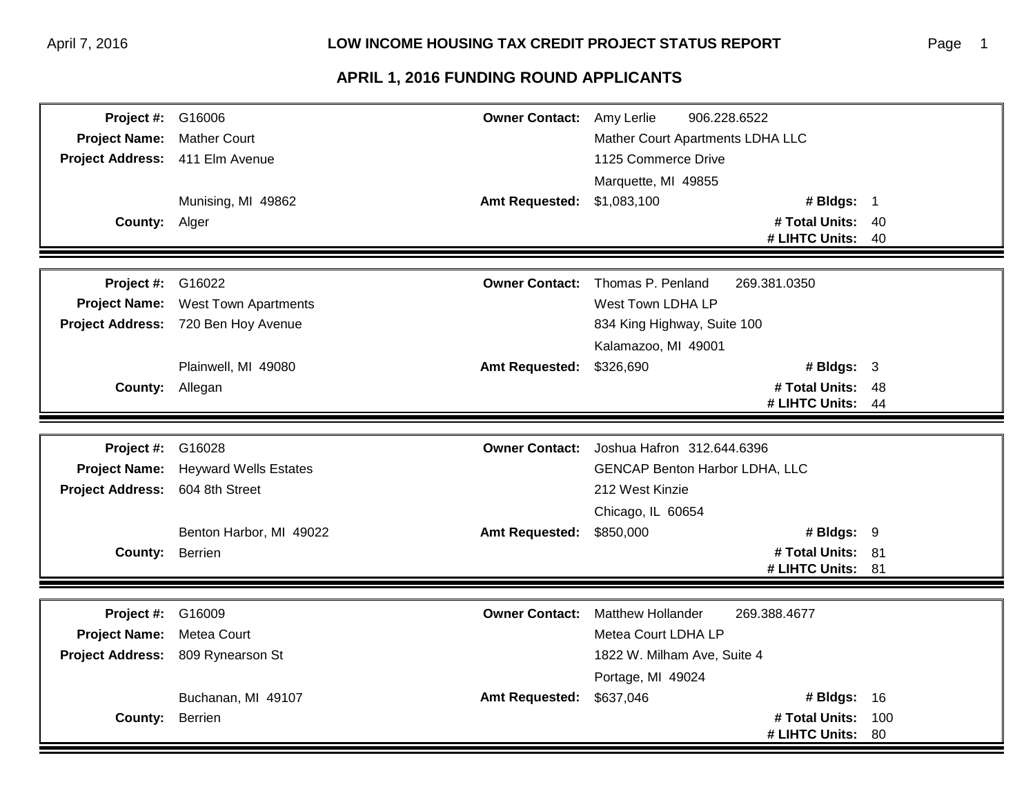| <b>Project #: G16006</b>        |                                     | <b>Owner Contact:</b> Amy Lerlie | 906.228.6522                              |     |
|---------------------------------|-------------------------------------|----------------------------------|-------------------------------------------|-----|
| Project Name: Mather Court      |                                     |                                  | Mather Court Apartments LDHA LLC          |     |
| Project Address: 411 Elm Avenue |                                     |                                  | 1125 Commerce Drive                       |     |
|                                 |                                     |                                  | Marquette, MI 49855                       |     |
|                                 | Munising, MI 49862                  | Amt Requested: \$1,083,100       | # Bldgs: 1                                |     |
| County: Alger                   |                                     |                                  | # Total Units: 40                         |     |
|                                 |                                     |                                  | # LIHTC Units: 40                         |     |
|                                 |                                     |                                  |                                           |     |
| <b>Project #: G16022</b>        |                                     | <b>Owner Contact:</b>            | Thomas P. Penland<br>269.381.0350         |     |
|                                 | Project Name: West Town Apartments  |                                  | West Town LDHA LP                         |     |
|                                 | Project Address: 720 Ben Hoy Avenue |                                  | 834 King Highway, Suite 100               |     |
|                                 |                                     |                                  | Kalamazoo, MI 49001                       |     |
|                                 | Plainwell, MI 49080                 | <b>Amt Requested:</b>            | \$326,690<br># Bldgs: $3$                 |     |
| County: Allegan                 |                                     |                                  | # Total Units: 48                         |     |
|                                 |                                     |                                  | # LIHTC Units:                            | 44  |
|                                 |                                     |                                  |                                           |     |
| <b>Project #: G16028</b>        |                                     |                                  | Owner Contact: Joshua Hafron 312.644.6396 |     |
|                                 | Project Name: Heyward Wells Estates |                                  | <b>GENCAP Benton Harbor LDHA, LLC</b>     |     |
| Project Address: 604 8th Street |                                     |                                  | 212 West Kinzie                           |     |
|                                 |                                     |                                  | Chicago, IL 60654                         |     |
|                                 | Benton Harbor, MI 49022             | <b>Amt Requested:</b>            | \$850,000<br># Bldgs: 9                   |     |
| County: Berrien                 |                                     |                                  | # Total Units: 81                         |     |
|                                 |                                     |                                  | # LIHTC Units: 81                         |     |
|                                 |                                     |                                  |                                           |     |
| <b>Project #: G16009</b>        |                                     | <b>Owner Contact:</b>            | <b>Matthew Hollander</b><br>269.388.4677  |     |
| Project Name: Metea Court       |                                     |                                  | Metea Court LDHA LP                       |     |
|                                 | Project Address: 809 Rynearson St   |                                  | 1822 W. Milham Ave, Suite 4               |     |
|                                 |                                     |                                  | Portage, MI 49024                         |     |
|                                 | Buchanan, MI 49107                  | <b>Amt Requested:</b>            | \$637,046<br># Bldgs: $16$                |     |
| County: Berrien                 |                                     |                                  | # Total Units:                            | 100 |
|                                 |                                     |                                  |                                           |     |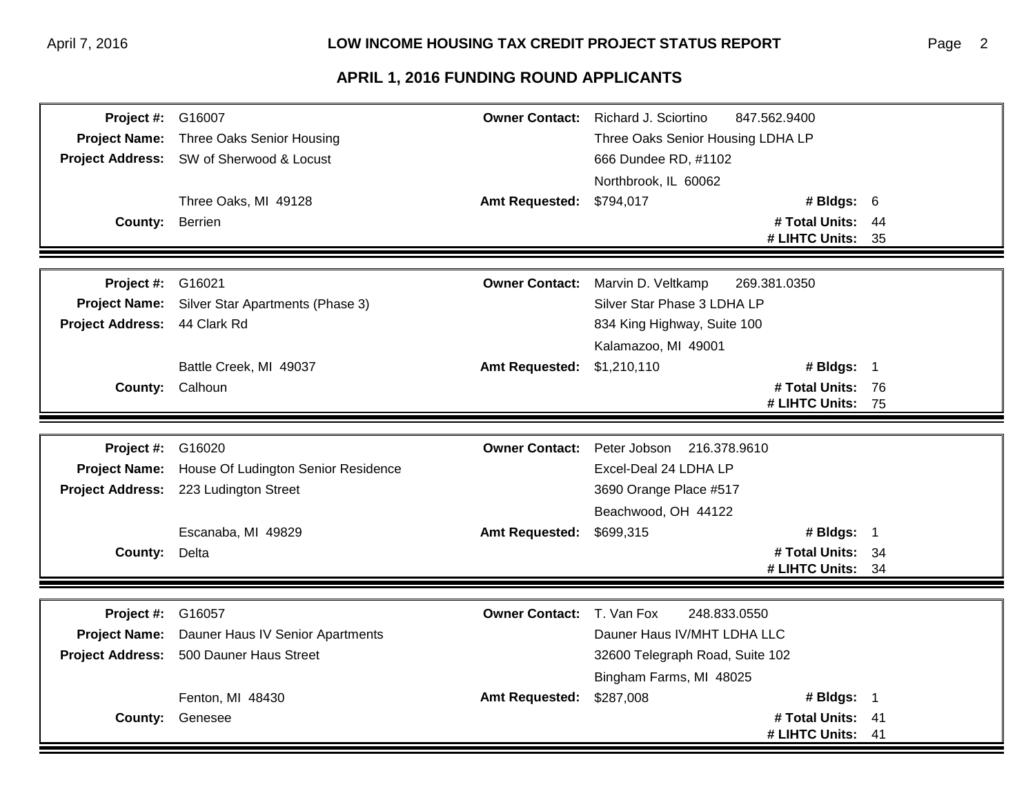| Project #: G16007        |                                                |                       | <b>Owner Contact:</b> Richard J. Sciortino<br>847.562.9400 |    |
|--------------------------|------------------------------------------------|-----------------------|------------------------------------------------------------|----|
| <b>Project Name:</b>     | Three Oaks Senior Housing                      |                       | Three Oaks Senior Housing LDHA LP                          |    |
|                          | Project Address: SW of Sherwood & Locust       |                       | 666 Dundee RD, #1102                                       |    |
|                          |                                                |                       | Northbrook, IL 60062                                       |    |
|                          | Three Oaks, MI 49128                           | <b>Amt Requested:</b> | \$794,017<br># Bldgs: 6                                    |    |
| County: Berrien          |                                                |                       | # Total Units: 44                                          |    |
|                          |                                                |                       | # LIHTC Units:                                             | 35 |
|                          |                                                |                       |                                                            |    |
| <b>Project #: G16021</b> |                                                | <b>Owner Contact:</b> | Marvin D. Veltkamp<br>269.381.0350                         |    |
| <b>Project Name:</b>     | Silver Star Apartments (Phase 3)               |                       | Silver Star Phase 3 LDHA LP                                |    |
| <b>Project Address:</b>  | 44 Clark Rd                                    |                       | 834 King Highway, Suite 100                                |    |
|                          |                                                |                       | Kalamazoo, MI 49001                                        |    |
|                          | Battle Creek, MI 49037                         | <b>Amt Requested:</b> | \$1,210,110<br># Bldgs: $1$                                |    |
|                          | County: Calhoun                                |                       | # Total Units: 76                                          |    |
|                          |                                                |                       | # LIHTC Units: 75                                          |    |
|                          |                                                |                       |                                                            |    |
| Project #:               | G16020                                         |                       | Owner Contact: Peter Jobson 216.378.9610                   |    |
| <b>Project Name:</b>     | House Of Ludington Senior Residence            |                       | Excel-Deal 24 LDHA LP                                      |    |
|                          | Project Address: 223 Ludington Street          |                       | 3690 Orange Place #517                                     |    |
|                          |                                                |                       | Beachwood, OH 44122                                        |    |
|                          | Escanaba, MI 49829                             | <b>Amt Requested:</b> | # Bldgs: 1<br>\$699,315                                    |    |
| County: Delta            |                                                |                       | # Total Units: 34                                          |    |
|                          |                                                |                       | # LIHTC Units:                                             | 34 |
|                          |                                                |                       |                                                            |    |
| <b>Project #: G16057</b> |                                                | <b>Owner Contact:</b> | T. Van Fox<br>248.833.0550                                 |    |
|                          | Project Name: Dauner Haus IV Senior Apartments |                       | Dauner Haus IV/MHT LDHA LLC                                |    |
|                          | Project Address: 500 Dauner Haus Street        |                       | 32600 Telegraph Road, Suite 102                            |    |
|                          |                                                |                       | Bingham Farms, MI 48025                                    |    |
|                          | Fenton, MI 48430                               | <b>Amt Requested:</b> | \$287,008<br># Bldgs: $1$                                  |    |
|                          | County: Genesee                                |                       | # Total Units:                                             | 41 |
|                          |                                                |                       | # LIHTC Units:                                             | 41 |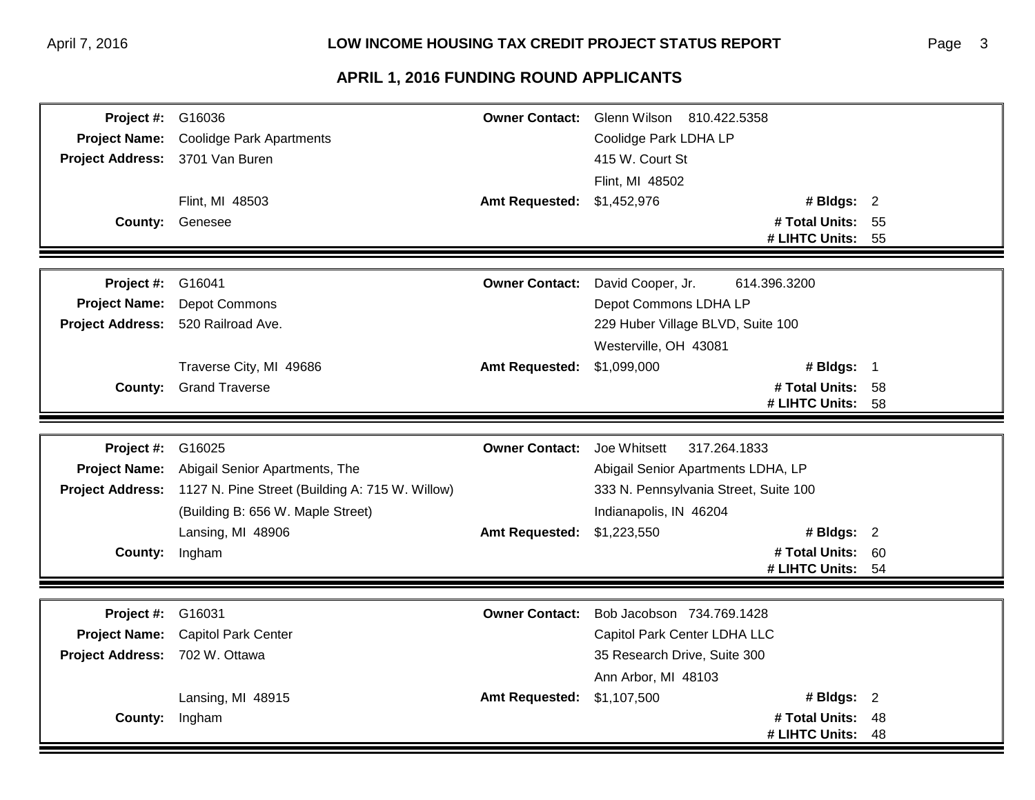| Project #:              | G16036                                                           | <b>Owner Contact:</b>              | Glenn Wilson 810.422.5358             |      |
|-------------------------|------------------------------------------------------------------|------------------------------------|---------------------------------------|------|
| <b>Project Name:</b>    | <b>Coolidge Park Apartments</b>                                  |                                    | Coolidge Park LDHA LP                 |      |
| <b>Project Address:</b> | 3701 Van Buren                                                   |                                    | 415 W. Court St                       |      |
|                         |                                                                  |                                    | Flint, MI 48502                       |      |
|                         | Flint, MI 48503                                                  | <b>Amt Requested:</b>              | \$1,452,976<br># Bldgs: $2$           |      |
|                         | <b>County: Genesee</b>                                           |                                    | # Total Units: 55                     |      |
|                         |                                                                  |                                    | # LIHTC Units:                        | - 55 |
|                         |                                                                  |                                    |                                       |      |
| Project #:              | G16041                                                           | <b>Owner Contact:</b>              | David Cooper, Jr.<br>614.396.3200     |      |
| <b>Project Name:</b>    | Depot Commons                                                    |                                    | Depot Commons LDHA LP                 |      |
| <b>Project Address:</b> | 520 Railroad Ave.                                                |                                    | 229 Huber Village BLVD, Suite 100     |      |
|                         |                                                                  |                                    | Westerville, OH 43081                 |      |
|                         | Traverse City, MI 49686                                          | <b>Amt Requested:</b>              | # Bldgs: 1<br>\$1,099,000             |      |
|                         | <b>County:</b> Grand Traverse                                    |                                    | # Total Units: 58                     |      |
|                         |                                                                  |                                    | # LIHTC Units:                        | 58   |
|                         |                                                                  |                                    |                                       |      |
| Project #:              | G16025                                                           | <b>Owner Contact:</b> Joe Whitsett | 317.264.1833                          |      |
| <b>Project Name:</b>    | Abigail Senior Apartments, The                                   |                                    | Abigail Senior Apartments LDHA, LP    |      |
|                         | Project Address: 1127 N. Pine Street (Building A: 715 W. Willow) |                                    | 333 N. Pennsylvania Street, Suite 100 |      |
|                         | (Building B: 656 W. Maple Street)                                |                                    | Indianapolis, IN 46204                |      |
|                         | Lansing, MI 48906                                                | <b>Amt Requested:</b>              | # Bldgs: $2$<br>\$1,223,550           |      |
| <b>County:</b>          | Ingham                                                           |                                    | # Total Units: 60                     |      |
|                         |                                                                  |                                    | # LIHTC Units: 54                     |      |
|                         |                                                                  |                                    |                                       |      |
| Project #:              | G16031                                                           | <b>Owner Contact:</b>              | Bob Jacobson 734.769.1428             |      |
| <b>Project Name:</b>    | <b>Capitol Park Center</b>                                       |                                    | Capitol Park Center LDHA LLC          |      |
| <b>Project Address:</b> | 702 W. Ottawa                                                    |                                    | 35 Research Drive, Suite 300          |      |
|                         |                                                                  |                                    | Ann Arbor, MI 48103                   |      |
|                         | Lansing, MI 48915                                                | <b>Amt Requested:</b>              | # Bldgs: $2$<br>\$1,107,500           |      |
| County:                 | Ingham                                                           |                                    | # Total Units:                        | 48   |
|                         |                                                                  |                                    | # LIHTC Units:                        | 48   |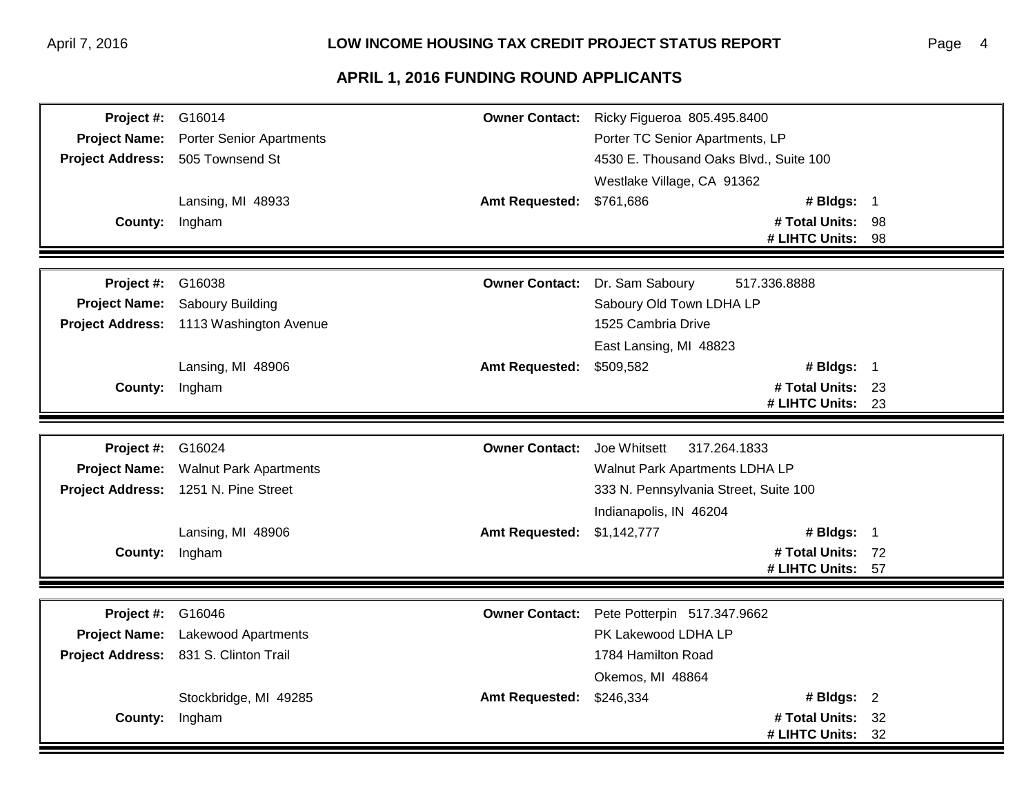| <b>Project #: G16014</b> |                                         |                                    | Owner Contact: Ricky Figueroa 805.495.8400 |  |
|--------------------------|-----------------------------------------|------------------------------------|--------------------------------------------|--|
| <b>Project Name:</b>     | <b>Porter Senior Apartments</b>         |                                    | Porter TC Senior Apartments, LP            |  |
|                          | Project Address: 505 Townsend St        |                                    | 4530 E. Thousand Oaks Blvd., Suite 100     |  |
|                          |                                         |                                    | Westlake Village, CA 91362                 |  |
|                          | Lansing, MI 48933                       | <b>Amt Requested:</b>              | # Bldgs: 1<br>\$761,686                    |  |
| County: Ingham           |                                         |                                    | # Total Units: 98                          |  |
|                          |                                         |                                    | # LIHTC Units: 98                          |  |
|                          |                                         |                                    |                                            |  |
| <b>Project #: G16038</b> |                                         | <b>Owner Contact:</b>              | 517.336.8888<br>Dr. Sam Saboury            |  |
|                          | Project Name: Saboury Building          |                                    | Saboury Old Town LDHA LP                   |  |
|                          | Project Address: 1113 Washington Avenue |                                    | 1525 Cambria Drive                         |  |
|                          |                                         |                                    | East Lansing, MI 48823                     |  |
|                          | Lansing, MI 48906                       | <b>Amt Requested:</b>              | # Bldgs: 1<br>\$509,582                    |  |
| County: Ingham           |                                         |                                    | # Total Units: 23                          |  |
|                          |                                         |                                    | # LIHTC Units: 23                          |  |
|                          |                                         |                                    |                                            |  |
| Project #:               | G16024                                  | <b>Owner Contact:</b> Joe Whitsett | 317.264.1833                               |  |
|                          | Project Name: Walnut Park Apartments    |                                    | Walnut Park Apartments LDHA LP             |  |
|                          | Project Address: 1251 N. Pine Street    |                                    | 333 N. Pennsylvania Street, Suite 100      |  |
|                          |                                         |                                    | Indianapolis, IN 46204                     |  |
|                          | Lansing, MI 48906                       | <b>Amt Requested:</b>              | # Bldgs: 1<br>\$1,142,777                  |  |
| County: Ingham           |                                         |                                    | # Total Units: 72                          |  |
|                          |                                         |                                    | # LIHTC Units: 57                          |  |
|                          |                                         |                                    |                                            |  |
| <b>Project #: G16046</b> |                                         |                                    | Owner Contact: Pete Potterpin 517.347.9662 |  |
|                          | Project Name: Lakewood Apartments       |                                    | PK Lakewood LDHA LP                        |  |
|                          | Project Address: 831 S. Clinton Trail   |                                    | 1784 Hamilton Road                         |  |
|                          |                                         |                                    | Okemos, MI 48864                           |  |
|                          | Stockbridge, MI 49285                   | <b>Amt Requested:</b>              | # Bldgs: 2<br>\$246,334                    |  |
|                          | County: Ingham                          |                                    | # Total Units: 32                          |  |
|                          |                                         |                                    | # LIHTC Units: 32                          |  |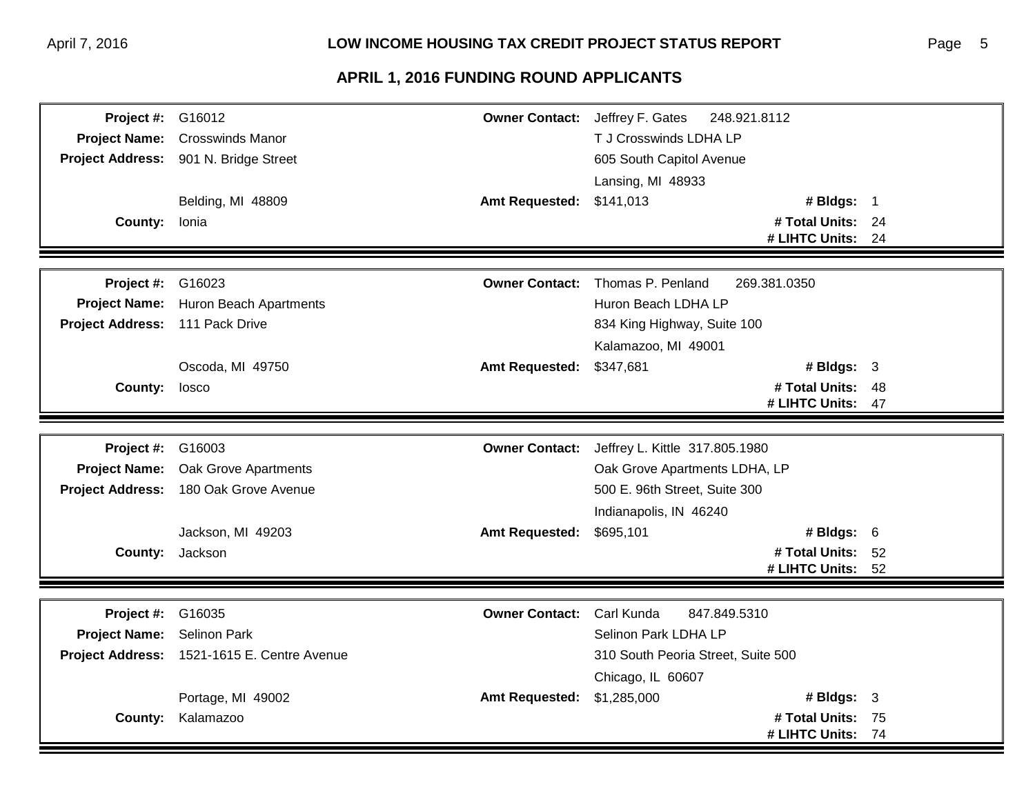| <b>Project #: G16012</b>        |                                             | <b>Owner Contact:</b> Jeffrey F. Gates | 248.921.8112                                  |                   |    |
|---------------------------------|---------------------------------------------|----------------------------------------|-----------------------------------------------|-------------------|----|
| <b>Project Name:</b>            | <b>Crosswinds Manor</b>                     |                                        | T J Crosswinds LDHA LP                        |                   |    |
|                                 | Project Address: 901 N. Bridge Street       |                                        | 605 South Capitol Avenue                      |                   |    |
|                                 |                                             |                                        | Lansing, MI 48933                             |                   |    |
|                                 | Belding, MI 48809                           | <b>Amt Requested:</b>                  | \$141,013                                     | # Bldgs: 1        |    |
| County: Ionia                   |                                             |                                        |                                               | # Total Units: 24 |    |
|                                 |                                             |                                        |                                               | # LIHTC Units:    | 24 |
|                                 |                                             |                                        |                                               |                   |    |
| Project #:                      | G16023                                      | <b>Owner Contact:</b>                  | Thomas P. Penland                             | 269.381.0350      |    |
| <b>Project Name:</b>            | <b>Huron Beach Apartments</b>               |                                        | Huron Beach LDHA LP                           |                   |    |
| Project Address: 111 Pack Drive |                                             |                                        | 834 King Highway, Suite 100                   |                   |    |
|                                 |                                             |                                        | Kalamazoo, MI 49001                           |                   |    |
|                                 | Oscoda, MI 49750                            | <b>Amt Requested:</b>                  | \$347,681                                     | # Bldgs: $3$      |    |
| County: losco                   |                                             |                                        |                                               | # Total Units: 48 |    |
|                                 |                                             |                                        |                                               | # LIHTC Units:    | 47 |
|                                 |                                             |                                        |                                               |                   |    |
| Project #:                      | G16003                                      |                                        | Owner Contact: Jeffrey L. Kittle 317.805.1980 |                   |    |
| <b>Project Name:</b>            | Oak Grove Apartments                        |                                        | Oak Grove Apartments LDHA, LP                 |                   |    |
|                                 | Project Address: 180 Oak Grove Avenue       |                                        | 500 E. 96th Street, Suite 300                 |                   |    |
|                                 |                                             |                                        | Indianapolis, IN 46240                        |                   |    |
|                                 | Jackson, MI 49203                           | <b>Amt Requested:</b>                  | \$695,101                                     | # Bldgs: $6$      |    |
|                                 | <b>County:</b> Jackson                      |                                        |                                               | # Total Units: 52 |    |
|                                 |                                             |                                        |                                               | # LIHTC Units: 52 |    |
|                                 |                                             |                                        |                                               |                   |    |
| Project #:                      | G16035                                      | <b>Owner Contact:</b>                  | Carl Kunda<br>847.849.5310                    |                   |    |
| Project Name: Selinon Park      |                                             |                                        | Selinon Park LDHA LP                          |                   |    |
|                                 | Project Address: 1521-1615 E. Centre Avenue |                                        | 310 South Peoria Street, Suite 500            |                   |    |
|                                 |                                             |                                        | Chicago, IL 60607                             |                   |    |
|                                 | Portage, MI 49002                           | <b>Amt Requested:</b>                  | \$1,285,000                                   | # Bldgs: $3$      |    |
| County:                         | Kalamazoo                                   |                                        |                                               | # Total Units: 75 |    |
|                                 |                                             |                                        |                                               | # LIHTC Units:    |    |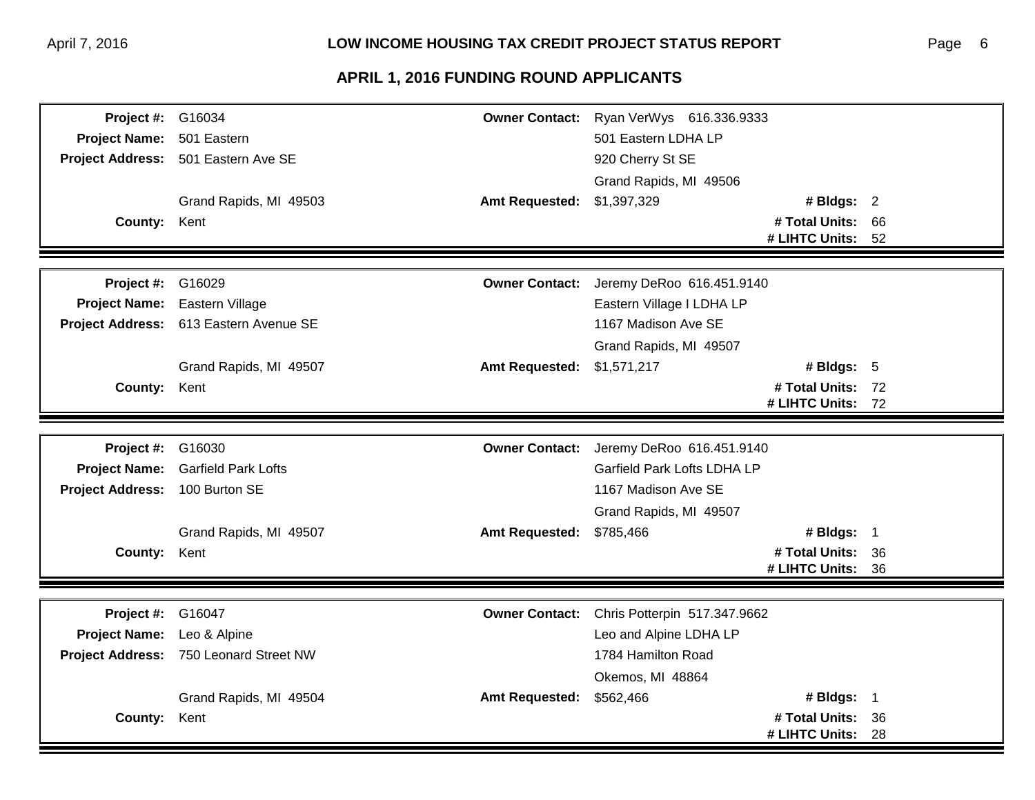| Project #: G16034              |                                        |                       | Owner Contact: Ryan VerWys 616.336.9333  |                   |    |
|--------------------------------|----------------------------------------|-----------------------|------------------------------------------|-------------------|----|
| Project Name: 501 Eastern      |                                        |                       | 501 Eastern LDHA LP                      |                   |    |
|                                | Project Address: 501 Eastern Ave SE    |                       | 920 Cherry St SE                         |                   |    |
|                                |                                        |                       | Grand Rapids, MI 49506                   |                   |    |
|                                | Grand Rapids, MI 49503                 | <b>Amt Requested:</b> | \$1,397,329                              | # Bldgs: 2        |    |
| County: Kent                   |                                        |                       |                                          | # Total Units: 66 |    |
|                                |                                        |                       |                                          | # LIHTC Units: 52 |    |
|                                |                                        |                       |                                          |                   |    |
| Project #:                     | G16029                                 | <b>Owner Contact:</b> | Jeremy DeRoo 616.451.9140                |                   |    |
| <b>Project Name:</b>           | Eastern Village                        |                       | Eastern Village I LDHA LP                |                   |    |
|                                | Project Address: 613 Eastern Avenue SE |                       | 1167 Madison Ave SE                      |                   |    |
|                                |                                        |                       | Grand Rapids, MI 49507                   |                   |    |
|                                | Grand Rapids, MI 49507                 | <b>Amt Requested:</b> | \$1,571,217                              | # Bldgs: $5$      |    |
| County: Kent                   |                                        |                       |                                          | # Total Units: 72 |    |
|                                |                                        |                       |                                          | # LIHTC Units: 72 |    |
|                                |                                        |                       |                                          |                   |    |
| <b>Project #: G16030</b>       |                                        |                       | Owner Contact: Jeremy DeRoo 616.451.9140 |                   |    |
| <b>Project Name:</b>           | <b>Garfield Park Lofts</b>             |                       | Garfield Park Lofts LDHA LP              |                   |    |
| Project Address: 100 Burton SE |                                        |                       | 1167 Madison Ave SE                      |                   |    |
|                                |                                        |                       | Grand Rapids, MI 49507                   |                   |    |
|                                | Grand Rapids, MI 49507                 | <b>Amt Requested:</b> | \$785,466                                | # Bldgs: 1        |    |
| County: Kent                   |                                        |                       |                                          | # Total Units: 36 |    |
|                                |                                        |                       |                                          | # LIHTC Units: 36 |    |
|                                |                                        |                       |                                          |                   |    |
| <b>Project #: G16047</b>       |                                        | <b>Owner Contact:</b> | Chris Potterpin 517.347.9662             |                   |    |
| Project Name: Leo & Alpine     |                                        |                       | Leo and Alpine LDHA LP                   |                   |    |
|                                | Project Address: 750 Leonard Street NW |                       | 1784 Hamilton Road                       |                   |    |
|                                |                                        |                       | Okemos, MI 48864                         |                   |    |
|                                | Grand Rapids, MI 49504                 | <b>Amt Requested:</b> | \$562,466                                | # Bldgs: 1        |    |
| County: Kent                   |                                        |                       |                                          | # Total Units: 36 |    |
|                                |                                        |                       |                                          | # LIHTC Units:    | 28 |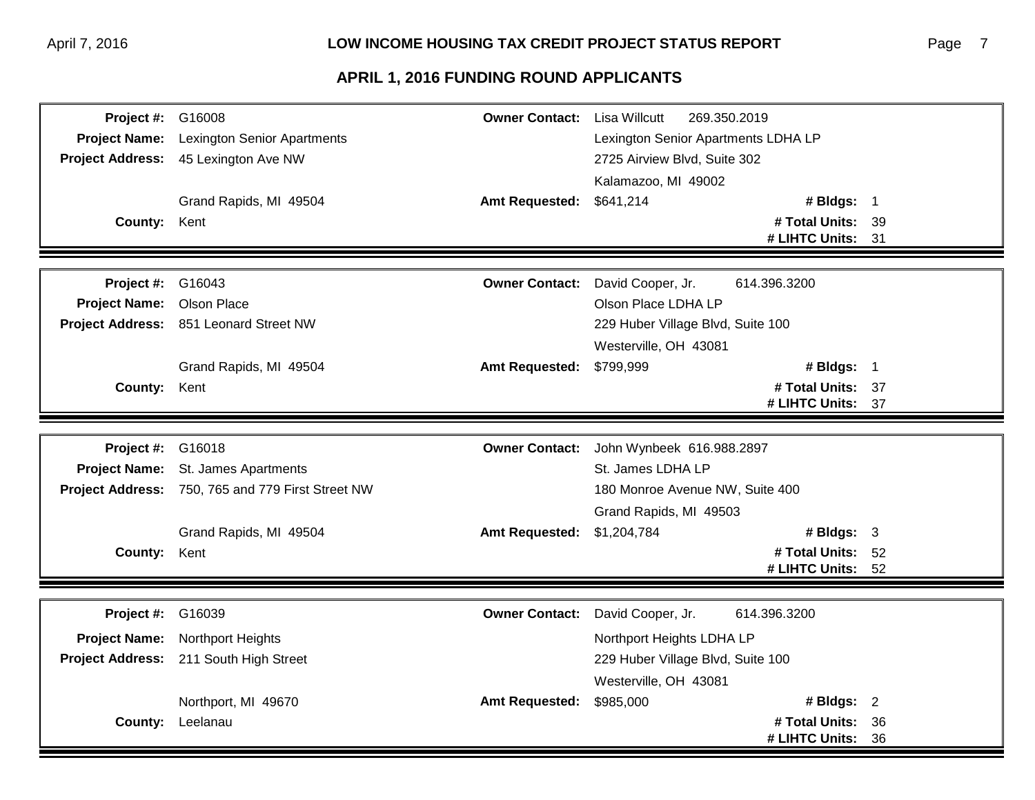| Project #: G16008         |                                                   | <b>Owner Contact:</b> | Lisa Willcutt<br>269.350.2019       |  |
|---------------------------|---------------------------------------------------|-----------------------|-------------------------------------|--|
| <b>Project Name:</b>      | <b>Lexington Senior Apartments</b>                |                       | Lexington Senior Apartments LDHA LP |  |
|                           | Project Address: 45 Lexington Ave NW              |                       | 2725 Airview Blvd, Suite 302        |  |
|                           |                                                   |                       | Kalamazoo, MI 49002                 |  |
|                           | Grand Rapids, MI 49504                            | <b>Amt Requested:</b> | \$641,214<br># Bldgs: 1             |  |
| County: Kent              |                                                   |                       | # Total Units: 39                   |  |
|                           |                                                   |                       | # LIHTC Units: 31                   |  |
|                           |                                                   |                       |                                     |  |
| <b>Project #: G16043</b>  |                                                   | <b>Owner Contact:</b> | David Cooper, Jr.<br>614.396.3200   |  |
| Project Name: Olson Place |                                                   |                       | Olson Place LDHA LP                 |  |
|                           | Project Address: 851 Leonard Street NW            |                       | 229 Huber Village Blvd, Suite 100   |  |
|                           |                                                   |                       | Westerville, OH 43081               |  |
|                           | Grand Rapids, MI 49504                            | <b>Amt Requested:</b> | # Bldgs: 1<br>\$799,999             |  |
| County: Kent              |                                                   |                       | # Total Units: 37                   |  |
|                           |                                                   |                       | # LIHTC Units: 37                   |  |
|                           |                                                   |                       |                                     |  |
| Project #: G16018         |                                                   | <b>Owner Contact:</b> | John Wynbeek 616.988.2897           |  |
|                           | Project Name: St. James Apartments                |                       | St. James LDHA LP                   |  |
|                           | Project Address: 750, 765 and 779 First Street NW |                       | 180 Monroe Avenue NW, Suite 400     |  |
|                           |                                                   |                       | Grand Rapids, MI 49503              |  |
|                           | Grand Rapids, MI 49504                            | <b>Amt Requested:</b> | # Bldgs: $3$<br>\$1,204,784         |  |
| County: Kent              |                                                   |                       | # Total Units: 52                   |  |
|                           |                                                   |                       | # LIHTC Units: 52                   |  |
|                           |                                                   |                       |                                     |  |
| <b>Project #: G16039</b>  |                                                   | <b>Owner Contact:</b> | David Cooper, Jr.<br>614.396.3200   |  |
|                           | Project Name: Northport Heights                   |                       | Northport Heights LDHA LP           |  |
|                           | Project Address: 211 South High Street            |                       | 229 Huber Village Blvd, Suite 100   |  |
|                           |                                                   |                       | Westerville, OH 43081               |  |
|                           | Northport, MI 49670                               | <b>Amt Requested:</b> | \$985,000<br># Bldgs: $2$           |  |
|                           | County: Leelanau                                  |                       | # Total Units: 36                   |  |
|                           |                                                   |                       | # LIHTC Units: 36                   |  |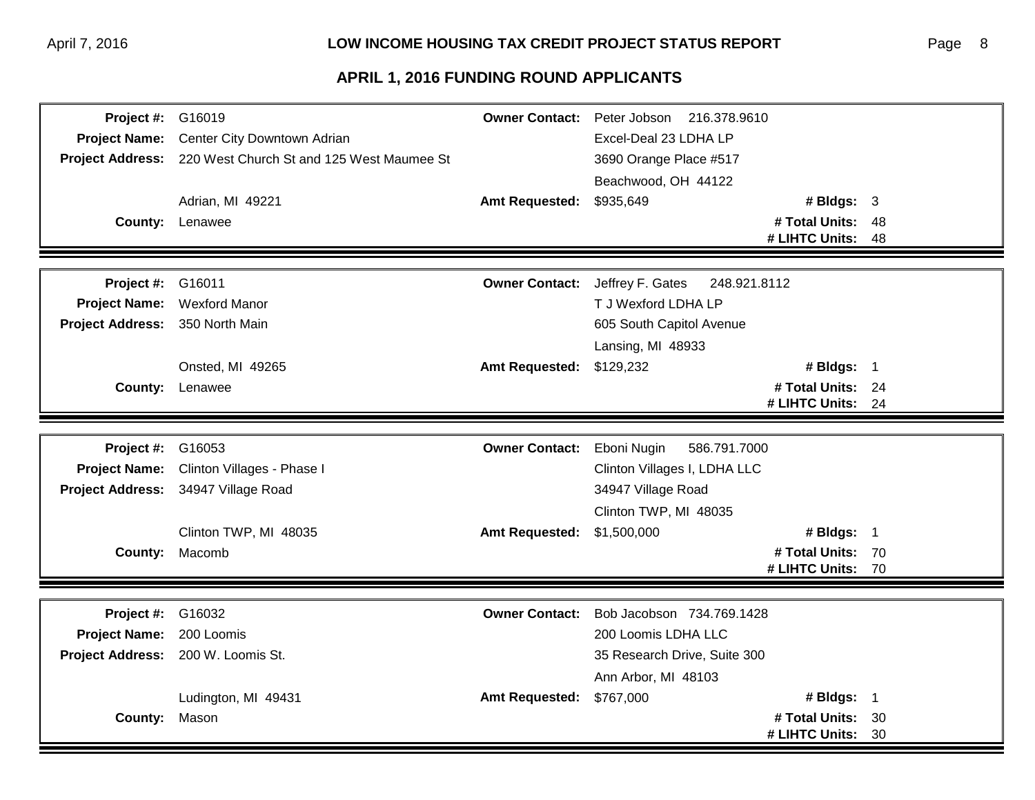| <b>Project #: G16019</b>        |                                                            | <b>Owner Contact:</b>      | Peter Jobson 216.378.9610        |                   |    |
|---------------------------------|------------------------------------------------------------|----------------------------|----------------------------------|-------------------|----|
| <b>Project Name:</b>            | Center City Downtown Adrian                                |                            | Excel-Deal 23 LDHA LP            |                   |    |
|                                 | Project Address: 220 West Church St and 125 West Maumee St |                            | 3690 Orange Place #517           |                   |    |
|                                 |                                                            |                            | Beachwood, OH 44122              |                   |    |
|                                 | Adrian, MI 49221                                           | <b>Amt Requested:</b>      | \$935,649                        | # Bldgs: $3$      |    |
|                                 | <b>County: Lenawee</b>                                     |                            |                                  | # Total Units: 48 |    |
|                                 |                                                            |                            |                                  | # LIHTC Units:    | 48 |
|                                 |                                                            |                            |                                  |                   |    |
| <b>Project #: G16011</b>        |                                                            | <b>Owner Contact:</b>      | Jeffrey F. Gates<br>248.921.8112 |                   |    |
| <b>Project Name:</b>            | <b>Wexford Manor</b>                                       |                            | T J Wexford LDHA LP              |                   |    |
| Project Address: 350 North Main |                                                            |                            | 605 South Capitol Avenue         |                   |    |
|                                 |                                                            |                            | Lansing, MI 48933                |                   |    |
|                                 | Onsted, MI 49265                                           | <b>Amt Requested:</b>      | \$129,232                        | # Bldgs: 1        |    |
|                                 | <b>County: Lenawee</b>                                     |                            |                                  | # Total Units: 24 |    |
|                                 |                                                            |                            |                                  | # LIHTC Units: 24 |    |
|                                 |                                                            |                            |                                  |                   |    |
| Project #:                      | G16053                                                     | <b>Owner Contact:</b>      | Eboni Nugin<br>586.791.7000      |                   |    |
| <b>Project Name:</b>            | Clinton Villages - Phase I                                 |                            | Clinton Villages I, LDHA LLC     |                   |    |
|                                 | Project Address: 34947 Village Road                        |                            | 34947 Village Road               |                   |    |
|                                 |                                                            |                            | Clinton TWP, MI 48035            |                   |    |
|                                 | Clinton TWP, MI 48035                                      | Amt Requested: \$1,500,000 |                                  | # Bldgs: $1$      |    |
|                                 | <b>County: Macomb</b>                                      |                            |                                  | # Total Units: 70 |    |
|                                 |                                                            |                            |                                  | # LIHTC Units: 70 |    |
|                                 |                                                            |                            |                                  |                   |    |
| <b>Project #: G16032</b>        |                                                            | <b>Owner Contact:</b>      | Bob Jacobson 734.769.1428        |                   |    |
| Project Name: 200 Loomis        |                                                            |                            | 200 Loomis LDHA LLC              |                   |    |
|                                 | Project Address: 200 W. Loomis St.                         |                            | 35 Research Drive, Suite 300     |                   |    |
|                                 |                                                            |                            | Ann Arbor, MI 48103              |                   |    |
|                                 | Ludington, MI 49431                                        | <b>Amt Requested:</b>      | \$767,000                        | # Bldgs: 1        |    |
| County: Mason                   |                                                            |                            |                                  | # Total Units: 30 |    |
|                                 |                                                            |                            |                                  | # LIHTC Units:    | 30 |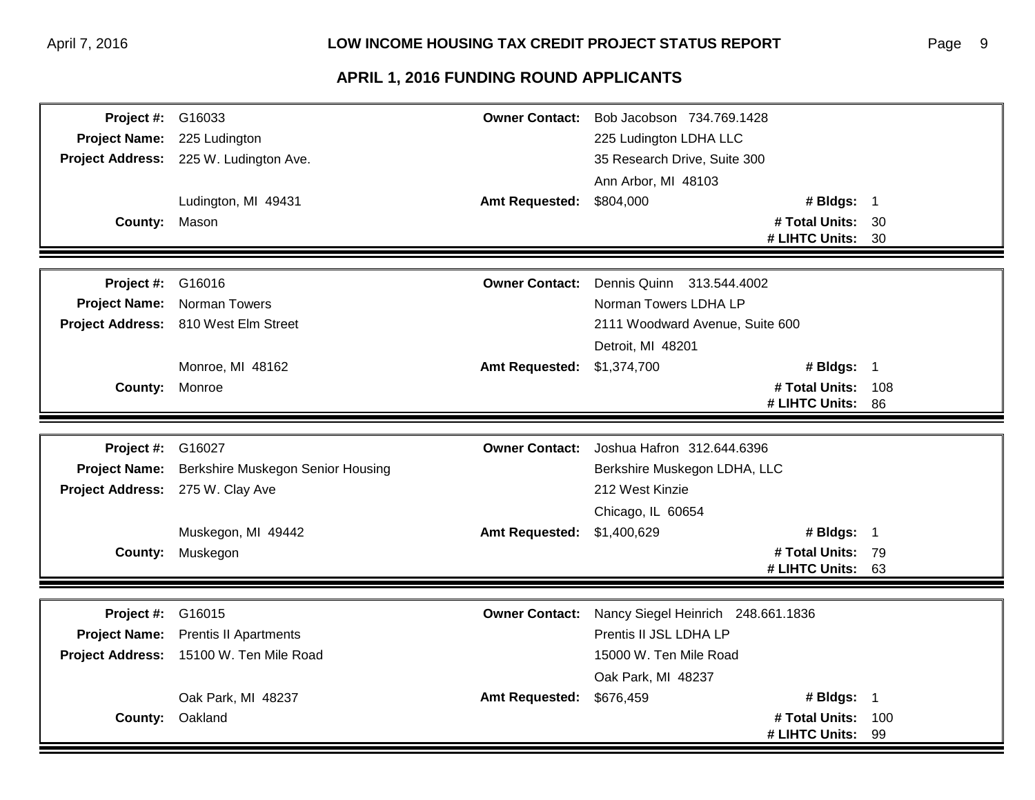| <b>Project #: G16033</b>         |                                         | <b>Owner Contact:</b> | Bob Jacobson 734.769.1428          |                   |     |
|----------------------------------|-----------------------------------------|-----------------------|------------------------------------|-------------------|-----|
| <b>Project Name:</b>             | 225 Ludington                           |                       | 225 Ludington LDHA LLC             |                   |     |
|                                  | Project Address: 225 W. Ludington Ave.  |                       | 35 Research Drive, Suite 300       |                   |     |
|                                  |                                         |                       | Ann Arbor, MI 48103                |                   |     |
|                                  | Ludington, MI 49431                     | <b>Amt Requested:</b> | \$804,000                          | # Bldgs: 1        |     |
| <b>County: Mason</b>             |                                         |                       |                                    | # Total Units: 30 |     |
|                                  |                                         |                       |                                    | # LIHTC Units: 30 |     |
|                                  |                                         |                       |                                    |                   |     |
| Project #:                       | G16016                                  | <b>Owner Contact:</b> | Dennis Quinn 313,544,4002          |                   |     |
| <b>Project Name:</b>             | Norman Towers                           |                       | Norman Towers LDHA LP              |                   |     |
|                                  | Project Address: 810 West Elm Street    |                       | 2111 Woodward Avenue, Suite 600    |                   |     |
|                                  |                                         |                       | Detroit, MI 48201                  |                   |     |
|                                  | Monroe, MI 48162                        | <b>Amt Requested:</b> | \$1,374,700                        | # Bldgs: 1        |     |
| County: Monroe                   |                                         |                       |                                    | # Total Units:    | 108 |
|                                  |                                         |                       |                                    | # LIHTC Units: 86 |     |
|                                  |                                         |                       |                                    |                   |     |
| <b>Project #: G16027</b>         |                                         | <b>Owner Contact:</b> | Joshua Hafron 312.644.6396         |                   |     |
| <b>Project Name:</b>             | Berkshire Muskegon Senior Housing       |                       | Berkshire Muskegon LDHA, LLC       |                   |     |
| Project Address: 275 W. Clay Ave |                                         |                       | 212 West Kinzie                    |                   |     |
|                                  |                                         |                       | Chicago, IL 60654                  |                   |     |
|                                  | Muskegon, MI 49442                      | <b>Amt Requested:</b> | \$1,400,629                        | # Bldgs: $1$      |     |
| <b>County:</b>                   | Muskegon                                |                       |                                    | # Total Units: 79 |     |
|                                  |                                         |                       |                                    | # LIHTC Units:    | 63  |
|                                  |                                         |                       |                                    |                   |     |
| <b>Project #: G16015</b>         |                                         | <b>Owner Contact:</b> | Nancy Siegel Heinrich 248.661.1836 |                   |     |
| <b>Project Name:</b>             | <b>Prentis II Apartments</b>            |                       | Prentis II JSL LDHA LP             |                   |     |
|                                  | Project Address: 15100 W. Ten Mile Road |                       | 15000 W. Ten Mile Road             |                   |     |
|                                  |                                         |                       | Oak Park, MI 48237                 |                   |     |
|                                  | Oak Park, MI 48237                      | <b>Amt Requested:</b> | \$676,459                          | # Bldgs: 1        |     |
|                                  | <b>County: Oakland</b>                  |                       |                                    | # Total Units:    | 100 |
|                                  |                                         |                       |                                    | # LIHTC Units:    | 99  |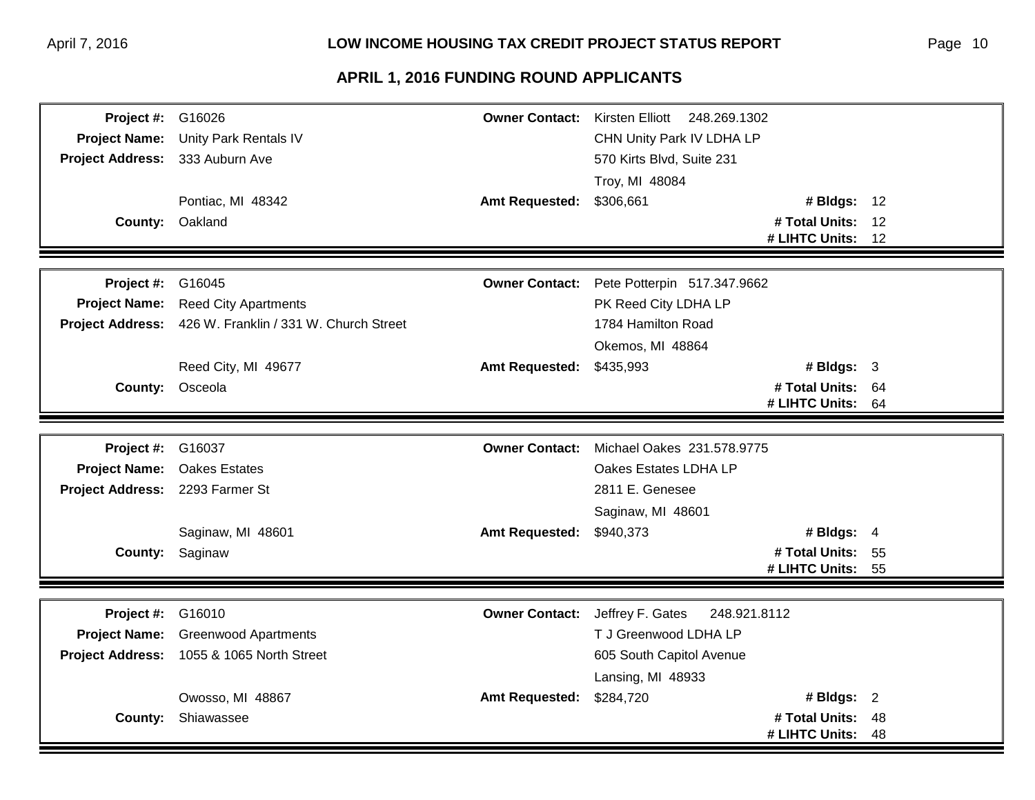| <b>Project #: G16026</b>        |                                                         |                       | Owner Contact: Kirsten Elliott 248.269.1302 |    |
|---------------------------------|---------------------------------------------------------|-----------------------|---------------------------------------------|----|
| <b>Project Name:</b>            | Unity Park Rentals IV                                   |                       | CHN Unity Park IV LDHA LP                   |    |
| Project Address: 333 Auburn Ave |                                                         |                       | 570 Kirts Blvd, Suite 231                   |    |
|                                 |                                                         |                       | Troy, MI 48084                              |    |
|                                 | Pontiac, MI 48342                                       | <b>Amt Requested:</b> | \$306,661<br># Bldgs: 12                    |    |
|                                 | County: Oakland                                         |                       | # Total Units: 12                           |    |
|                                 |                                                         |                       | # LIHTC Units: 12                           |    |
|                                 |                                                         |                       |                                             |    |
| <b>Project #: G16045</b>        |                                                         | <b>Owner Contact:</b> | Pete Potterpin 517.347.9662                 |    |
|                                 | Project Name: Reed City Apartments                      |                       | PK Reed City LDHA LP                        |    |
|                                 | Project Address: 426 W. Franklin / 331 W. Church Street |                       | 1784 Hamilton Road                          |    |
|                                 |                                                         |                       | Okemos, MI 48864                            |    |
|                                 | Reed City, MI 49677                                     | <b>Amt Requested:</b> | # Bldgs: $3$<br>\$435,993                   |    |
|                                 | County: Osceola                                         |                       | # Total Units: 64                           |    |
|                                 |                                                         |                       | # LIHTC Units: 64                           |    |
|                                 |                                                         |                       |                                             |    |
| <b>Project #: G16037</b>        |                                                         |                       | Owner Contact: Michael Oakes 231.578.9775   |    |
|                                 | Project Name: Oakes Estates                             |                       | Oakes Estates LDHA LP                       |    |
| Project Address: 2293 Farmer St |                                                         |                       | 2811 E. Genesee                             |    |
|                                 |                                                         |                       | Saginaw, MI 48601                           |    |
|                                 | Saginaw, MI 48601                                       | <b>Amt Requested:</b> | # Bldgs: $4$<br>\$940,373                   |    |
|                                 | County: Saginaw                                         |                       | # Total Units: 55                           |    |
|                                 |                                                         |                       | # LIHTC Units: 55                           |    |
|                                 |                                                         |                       |                                             |    |
| <b>Project #: G16010</b>        |                                                         | <b>Owner Contact:</b> | Jeffrey F. Gates<br>248.921.8112            |    |
|                                 | Project Name: Greenwood Apartments                      |                       | T J Greenwood LDHA LP                       |    |
|                                 | Project Address: 1055 & 1065 North Street               |                       | 605 South Capitol Avenue                    |    |
|                                 |                                                         |                       | Lansing, MI 48933                           |    |
|                                 | Owosso, MI 48867                                        | <b>Amt Requested:</b> | \$284,720<br># Bldgs: $2$                   |    |
|                                 | <b>County: Shiawassee</b>                               |                       | # Total Units: 48                           |    |
|                                 |                                                         |                       | # LIHTC Units:                              | 48 |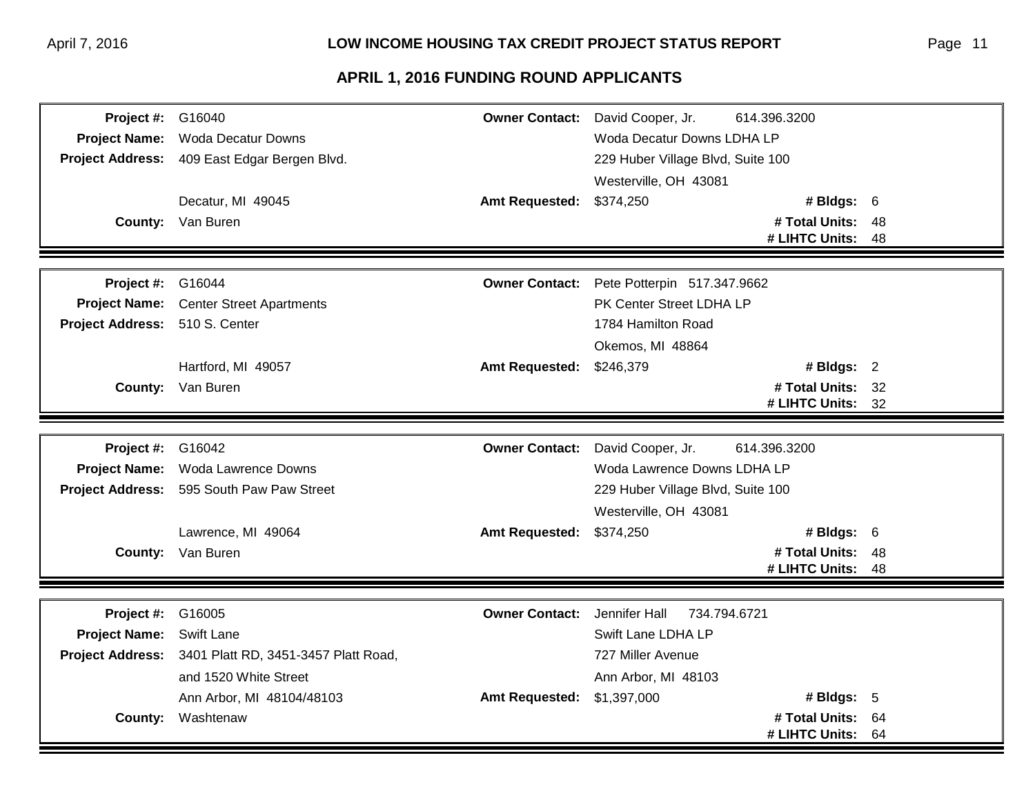| <b>Project #: G16040</b>       |                                                       |                            | Owner Contact: David Cooper, Jr.  | 614.396.3200      |    |
|--------------------------------|-------------------------------------------------------|----------------------------|-----------------------------------|-------------------|----|
|                                | Project Name: Woda Decatur Downs                      |                            | Woda Decatur Downs LDHA LP        |                   |    |
|                                | Project Address: 409 East Edgar Bergen Blvd.          |                            | 229 Huber Village Blvd, Suite 100 |                   |    |
|                                |                                                       |                            | Westerville, OH 43081             |                   |    |
|                                | Decatur, MI 49045                                     | Amt Requested: \$374,250   |                                   | # Bldgs: 6        |    |
|                                | <b>County:</b> Van Buren                              |                            |                                   | # Total Units: 48 |    |
|                                |                                                       |                            |                                   | # LIHTC Units:    | 48 |
|                                |                                                       |                            |                                   |                   |    |
| <b>Project #: G16044</b>       |                                                       | <b>Owner Contact:</b>      | Pete Potterpin 517.347.9662       |                   |    |
|                                | Project Name: Center Street Apartments                |                            | PK Center Street LDHA LP          |                   |    |
| Project Address: 510 S. Center |                                                       |                            | 1784 Hamilton Road                |                   |    |
|                                |                                                       |                            | Okemos, MI 48864                  |                   |    |
|                                | Hartford, MI 49057                                    | <b>Amt Requested:</b>      | \$246,379                         | # Bldgs: 2        |    |
|                                | <b>County:</b> Van Buren                              |                            |                                   | # Total Units: 32 |    |
|                                |                                                       |                            |                                   | # LIHTC Units:    | 32 |
|                                |                                                       |                            |                                   |                   |    |
| <b>Project #: G16042</b>       |                                                       | <b>Owner Contact:</b>      | David Cooper, Jr.                 | 614.396.3200      |    |
|                                | Project Name: Woda Lawrence Downs                     |                            | Woda Lawrence Downs LDHA LP       |                   |    |
|                                | Project Address: 595 South Paw Paw Street             |                            | 229 Huber Village Blvd, Suite 100 |                   |    |
|                                |                                                       |                            | Westerville, OH 43081             |                   |    |
|                                | Lawrence, MI 49064                                    | Amt Requested: \$374,250   |                                   | # Bldgs: 6        |    |
|                                | <b>County:</b> Van Buren                              |                            |                                   | # Total Units:    | 48 |
|                                |                                                       |                            |                                   | # LIHTC Units:    | 48 |
|                                |                                                       |                            |                                   |                   |    |
| Project #:                     | G16005                                                | <b>Owner Contact:</b>      | Jennifer Hall<br>734.794.6721     |                   |    |
| <b>Project Name:</b>           | Swift Lane                                            |                            | Swift Lane LDHA LP                |                   |    |
|                                | Project Address: 3401 Platt RD, 3451-3457 Platt Road, |                            | 727 Miller Avenue                 |                   |    |
|                                | and 1520 White Street                                 |                            | Ann Arbor, MI 48103               |                   |    |
|                                | Ann Arbor, MI 48104/48103                             | Amt Requested: \$1,397,000 |                                   | # Bldgs: 5        |    |
|                                | <b>County: Washtenaw</b>                              |                            |                                   | # Total Units:    | 64 |
|                                |                                                       |                            |                                   | # LIHTC Units: 64 |    |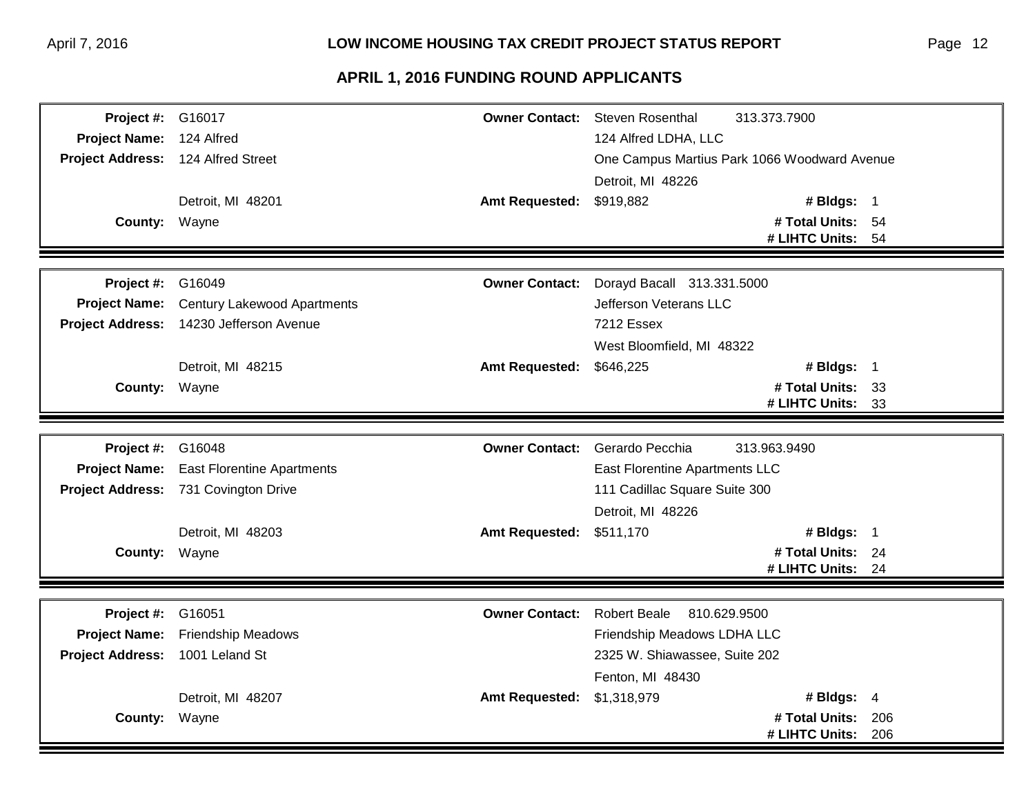| <b>Project #: G16017</b>           |                                         |                          | <b>Owner Contact:</b> Steven Rosenthal<br>313.373.7900 |                   |     |
|------------------------------------|-----------------------------------------|--------------------------|--------------------------------------------------------|-------------------|-----|
| Project Name: 124 Alfred           |                                         |                          | 124 Alfred LDHA, LLC                                   |                   |     |
| Project Address: 124 Alfred Street |                                         |                          | One Campus Martius Park 1066 Woodward Avenue           |                   |     |
|                                    |                                         |                          | Detroit, MI 48226                                      |                   |     |
|                                    | Detroit, MI 48201                       | Amt Requested: \$919,882 |                                                        | # Bldgs: 1        |     |
| <b>County: Wayne</b>               |                                         |                          |                                                        | # Total Units: 54 |     |
|                                    |                                         |                          |                                                        | # LIHTC Units: 54 |     |
|                                    |                                         |                          |                                                        |                   |     |
| Project #:                         | G16049                                  | <b>Owner Contact:</b>    | Dorayd Bacall 313.331.5000                             |                   |     |
| <b>Project Name:</b>               | <b>Century Lakewood Apartments</b>      |                          | Jefferson Veterans LLC                                 |                   |     |
|                                    | Project Address: 14230 Jefferson Avenue |                          | 7212 Essex                                             |                   |     |
|                                    |                                         |                          | West Bloomfield, MI 48322                              |                   |     |
|                                    | Detroit, MI 48215                       | <b>Amt Requested:</b>    | \$646,225                                              | # Bldgs: 1        |     |
| County: Wayne                      |                                         |                          |                                                        | # Total Units: 33 |     |
|                                    |                                         |                          |                                                        | # LIHTC Units: 33 |     |
|                                    |                                         |                          |                                                        |                   |     |
| <b>Project #: G16048</b>           |                                         | <b>Owner Contact:</b>    | Gerardo Pecchia<br>313.963.9490                        |                   |     |
| <b>Project Name:</b>               | <b>East Florentine Apartments</b>       |                          | East Florentine Apartments LLC                         |                   |     |
|                                    | Project Address: 731 Covington Drive    |                          | 111 Cadillac Square Suite 300                          |                   |     |
|                                    |                                         |                          | Detroit, MI 48226                                      |                   |     |
|                                    | Detroit, MI 48203                       | Amt Requested: \$511,170 |                                                        | # Bldgs: $1$      |     |
| County: Wayne                      |                                         |                          |                                                        | # Total Units: 24 |     |
|                                    |                                         |                          |                                                        | # LIHTC Units:    | 24  |
|                                    |                                         |                          |                                                        |                   |     |
| <b>Project #: G16051</b>           |                                         | <b>Owner Contact:</b>    | <b>Robert Beale</b><br>810.629.9500                    |                   |     |
| <b>Project Name:</b>               | <b>Friendship Meadows</b>               |                          | Friendship Meadows LDHA LLC                            |                   |     |
| <b>Project Address:</b>            | 1001 Leland St                          |                          | 2325 W. Shiawassee, Suite 202                          |                   |     |
|                                    |                                         |                          | Fenton, MI 48430                                       |                   |     |
|                                    | Detroit, MI 48207                       | <b>Amt Requested:</b>    | \$1,318,979                                            | # Bldgs: $4$      |     |
| County: Wayne                      |                                         |                          |                                                        | # Total Units:    | 206 |
|                                    |                                         |                          |                                                        | # LIHTC Units:    | 206 |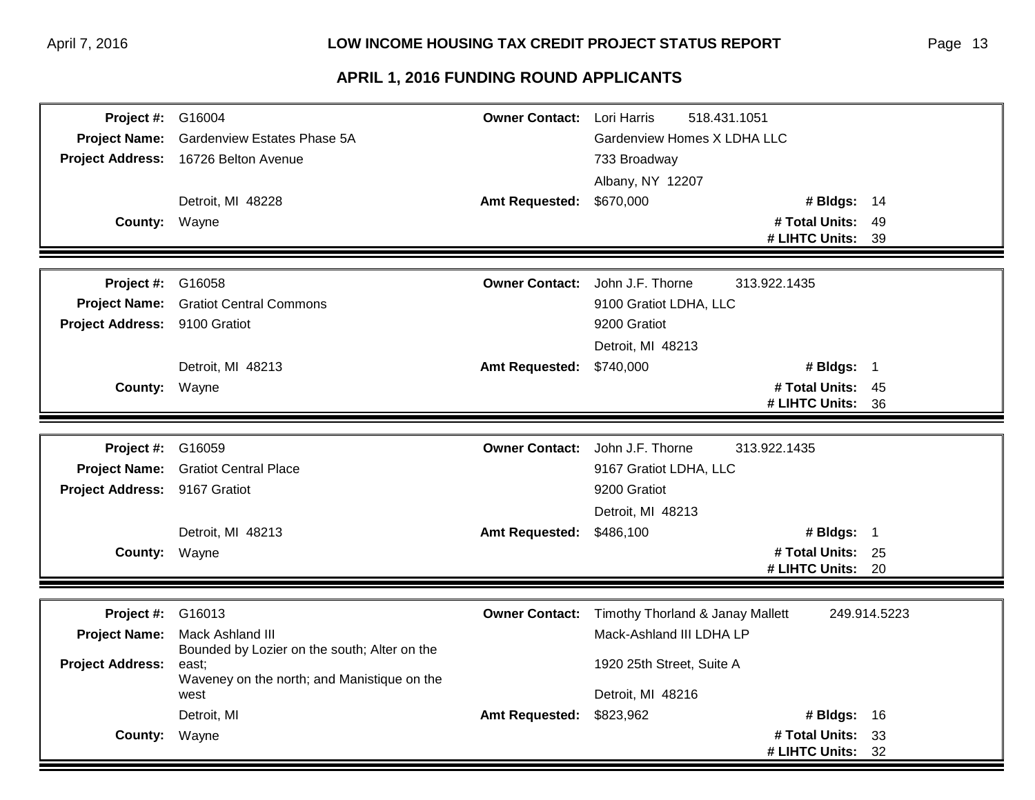| <b>Project #: G16004</b>      |                                                       | <b>Owner Contact:</b> Lori Harris | 518.431.1051                                    |              |  |
|-------------------------------|-------------------------------------------------------|-----------------------------------|-------------------------------------------------|--------------|--|
| <b>Project Name:</b>          | Gardenview Estates Phase 5A                           |                                   | Gardenview Homes X LDHA LLC                     |              |  |
|                               | Project Address: 16726 Belton Avenue                  |                                   | 733 Broadway                                    |              |  |
|                               |                                                       |                                   | Albany, NY 12207                                |              |  |
|                               | Detroit, MI 48228                                     | <b>Amt Requested:</b>             | \$670,000<br># Bldgs: 14                        |              |  |
| <b>County: Wayne</b>          |                                                       |                                   | # Total Units:                                  | 49           |  |
|                               |                                                       |                                   | # LIHTC Units:                                  | -39          |  |
|                               |                                                       |                                   |                                                 |              |  |
| <b>Project #: G16058</b>      |                                                       |                                   | Owner Contact: John J.F. Thorne<br>313.922.1435 |              |  |
|                               | <b>Project Name:</b> Gratiot Central Commons          |                                   | 9100 Gratiot LDHA, LLC                          |              |  |
| Project Address: 9100 Gratiot |                                                       |                                   | 9200 Gratiot                                    |              |  |
|                               |                                                       |                                   | Detroit, MI 48213                               |              |  |
|                               | Detroit, MI 48213                                     | Amt Requested: \$740,000          | # Bldgs: 1                                      |              |  |
| County: Wayne                 |                                                       |                                   | # Total Units: 45                               |              |  |
|                               |                                                       |                                   | # LIHTC Units: 36                               |              |  |
|                               |                                                       |                                   |                                                 |              |  |
| Project #:                    | G16059                                                |                                   | Owner Contact: John J.F. Thorne<br>313.922.1435 |              |  |
|                               | Project Name: Gratiot Central Place                   |                                   | 9167 Gratiot LDHA, LLC                          |              |  |
| Project Address: 9167 Gratiot |                                                       |                                   | 9200 Gratiot                                    |              |  |
|                               |                                                       |                                   | Detroit, MI 48213                               |              |  |
|                               | Detroit, MI 48213                                     | <b>Amt Requested:</b>             | \$486,100<br># Bldgs: 1                         |              |  |
| County: Wayne                 |                                                       |                                   | # Total Units: 25                               |              |  |
|                               |                                                       |                                   | # LIHTC Units: 20                               |              |  |
|                               |                                                       |                                   |                                                 |              |  |
| Project #:                    | G16013                                                | <b>Owner Contact:</b>             | Timothy Thorland & Janay Mallett                | 249.914.5223 |  |
| <b>Project Name:</b>          | Mack Ashland III                                      |                                   | Mack-Ashland III LDHA LP                        |              |  |
| <b>Project Address:</b>       | Bounded by Lozier on the south; Alter on the<br>east; |                                   | 1920 25th Street, Suite A                       |              |  |
|                               | Waveney on the north; and Manistique on the           |                                   |                                                 |              |  |
|                               | west                                                  |                                   | Detroit, MI 48216                               |              |  |
|                               | Detroit, MI                                           | <b>Amt Requested:</b>             | \$823,962<br># Bldgs: 16                        |              |  |
| <b>County:</b>                | Wayne                                                 |                                   | # Total Units:                                  | 33           |  |
|                               |                                                       |                                   | # LIHTC Units:                                  | 32           |  |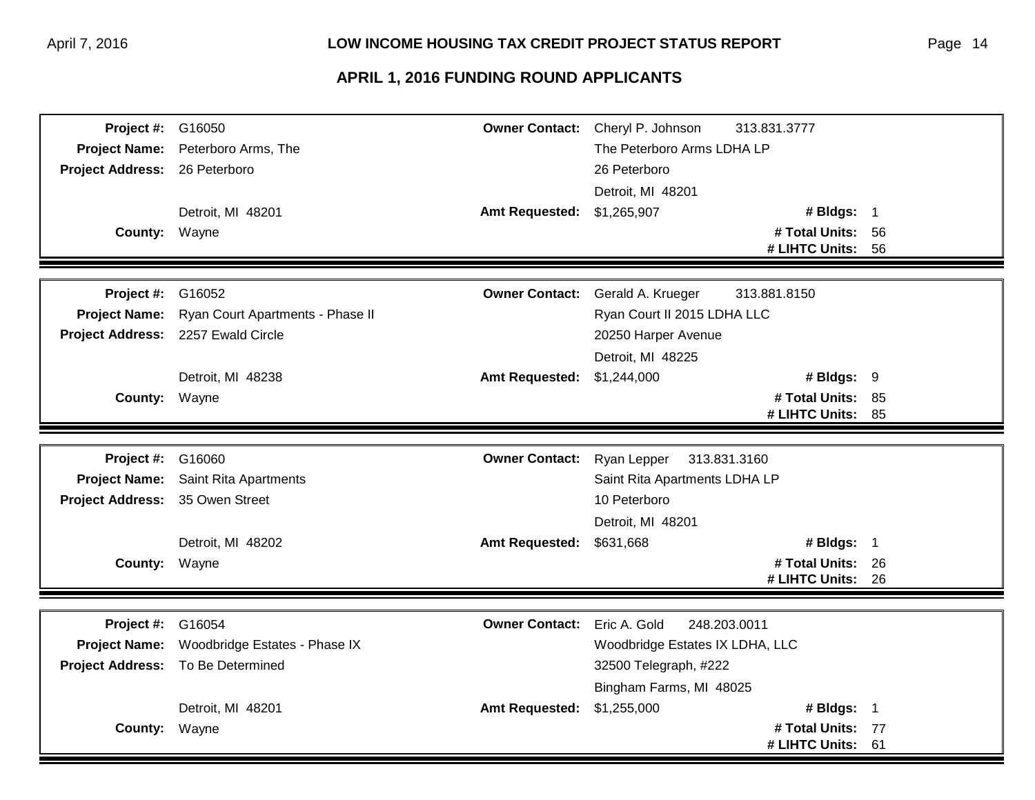| Project #:              | G16050                           | <b>Owner Contact:</b> | Cheryl P. Johnson<br>313.831.3777 |    |  |
|-------------------------|----------------------------------|-----------------------|-----------------------------------|----|--|
| <b>Project Name:</b>    | Peterboro Arms, The              |                       | The Peterboro Arms LDHA LP        |    |  |
| <b>Project Address:</b> | 26 Peterboro                     |                       | 26 Peterboro                      |    |  |
|                         |                                  |                       | Detroit, MI 48201                 |    |  |
|                         | Detroit, MI 48201                | <b>Amt Requested:</b> | \$1,265,907<br># Bldgs: 1         |    |  |
| County: Wayne           |                                  |                       | # Total Units: 56                 |    |  |
|                         |                                  |                       | # LIHTC Units:                    | 56 |  |
|                         |                                  |                       |                                   |    |  |
| Project #:              | G16052                           | <b>Owner Contact:</b> | Gerald A. Krueger<br>313.881.8150 |    |  |
| <b>Project Name:</b>    | Ryan Court Apartments - Phase II |                       | Ryan Court II 2015 LDHA LLC       |    |  |
| <b>Project Address:</b> | 2257 Ewald Circle                |                       | 20250 Harper Avenue               |    |  |
|                         |                                  |                       | Detroit, MI 48225                 |    |  |
|                         | Detroit, MI 48238                | <b>Amt Requested:</b> | \$1,244,000<br># Bldgs: 9         |    |  |
| County:                 | Wayne                            |                       | # Total Units: 85                 |    |  |
|                         |                                  |                       | # LIHTC Units:                    | 85 |  |
|                         |                                  |                       |                                   |    |  |
| Project #:              | G16060                           | <b>Owner Contact:</b> | Ryan Lepper<br>313.831.3160       |    |  |
| <b>Project Name:</b>    | Saint Rita Apartments            |                       | Saint Rita Apartments LDHA LP     |    |  |
| <b>Project Address:</b> | 35 Owen Street                   |                       | 10 Peterboro                      |    |  |
|                         |                                  |                       | Detroit, MI 48201                 |    |  |
|                         | Detroit, MI 48202                | <b>Amt Requested:</b> | # Bldgs: 1<br>\$631,668           |    |  |
| County: Wayne           |                                  |                       | # Total Units: 26                 |    |  |
|                         |                                  |                       | # LIHTC Units: 26                 |    |  |
|                         |                                  |                       |                                   |    |  |
| Project #:              | G16054                           | <b>Owner Contact:</b> | Eric A. Gold<br>248.203.0011      |    |  |
| <b>Project Name:</b>    | Woodbridge Estates - Phase IX    |                       | Woodbridge Estates IX LDHA, LLC   |    |  |
| <b>Project Address:</b> | To Be Determined                 |                       | 32500 Telegraph, #222             |    |  |
|                         |                                  |                       | Bingham Farms, MI 48025           |    |  |
|                         | Detroit, MI 48201                | <b>Amt Requested:</b> | \$1,255,000<br># Bldgs: $1$       |    |  |
| <b>County:</b>          | Wayne                            |                       | # Total Units: 77                 |    |  |
|                         |                                  |                       | # LIHTC Units:                    | 61 |  |